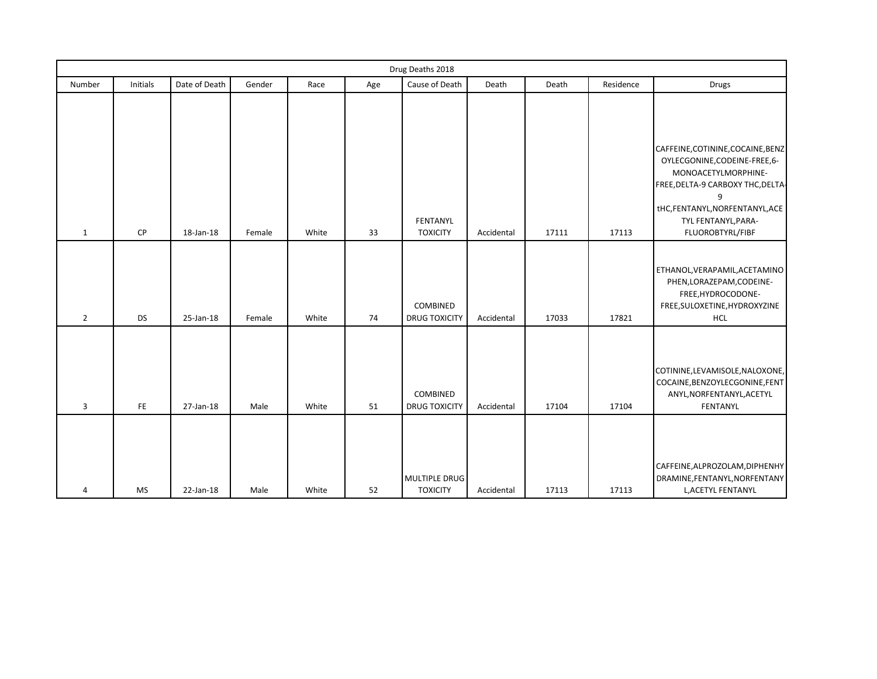|                |           |               |        |       |     | Drug Deaths 2018                 |            |       |           |                                                                                                                                                                                                                |
|----------------|-----------|---------------|--------|-------|-----|----------------------------------|------------|-------|-----------|----------------------------------------------------------------------------------------------------------------------------------------------------------------------------------------------------------------|
| Number         | Initials  | Date of Death | Gender | Race  | Age | Cause of Death                   | Death      | Death | Residence | Drugs                                                                                                                                                                                                          |
| $\mathbf{1}$   | CP        | 18-Jan-18     | Female | White | 33  | FENTANYL<br><b>TOXICITY</b>      | Accidental | 17111 | 17113     | CAFFEINE, COTININE, COCAINE, BENZ<br>OYLECGONINE, CODEINE-FREE, 6-<br>MONOACETYLMORPHINE-<br>FREE, DELTA-9 CARBOXY THC, DELTA-<br>9<br>tHC,FENTANYL,NORFENTANYL,ACE<br>TYL FENTANYL, PARA-<br>FLUOROBTYRL/FIBF |
| $\overline{2}$ | <b>DS</b> | 25-Jan-18     | Female | White | 74  | COMBINED<br><b>DRUG TOXICITY</b> | Accidental | 17033 | 17821     | ETHANOL, VERAPAMIL, ACETAMINO<br>PHEN, LORAZEPAM, CODEINE-<br>FREE, HYDROCODONE-<br>FREE, SULOXETINE, HYDROXYZINE<br><b>HCL</b>                                                                                |
| 3              | FE        | 27-Jan-18     | Male   | White | 51  | COMBINED<br><b>DRUG TOXICITY</b> | Accidental | 17104 | 17104     | COTININE, LEVAMISOLE, NALOXONE,<br>COCAINE, BENZOYLECGONINE, FENT<br>ANYL, NORFENTANYL, ACETYL<br>FENTANYL                                                                                                     |
| 4              | <b>MS</b> | 22-Jan-18     | Male   | White | 52  | MULTIPLE DRUG<br><b>TOXICITY</b> | Accidental | 17113 | 17113     | CAFFEINE, ALPROZOLAM, DIPHENHY<br>DRAMINE, FENTANYL, NORFENTANY<br><b>L, ACETYL FENTANYL</b>                                                                                                                   |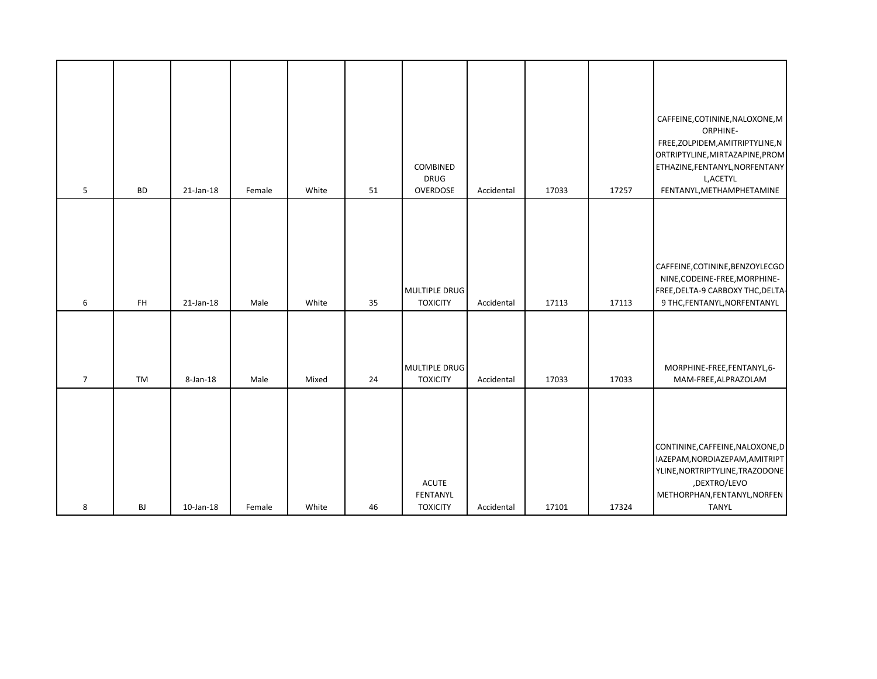| 5              | <b>BD</b> | 21-Jan-18       | Female | White | 51 | COMBINED<br><b>DRUG</b><br>OVERDOSE         | Accidental | 17033 | 17257 | CAFFEINE, COTININE, NALOXONE, M<br>ORPHINE-<br>FREE, ZOLPIDEM, AMITRIPTYLINE, N<br>ORTRIPTYLINE, MIRTAZAPINE, PROM<br>ETHAZINE, FENTANYL, NORFENTANY<br>L, ACETYL<br>FENTANYL, METHAMPHETAMINE |
|----------------|-----------|-----------------|--------|-------|----|---------------------------------------------|------------|-------|-------|------------------------------------------------------------------------------------------------------------------------------------------------------------------------------------------------|
| 6              | FH        | $21$ -Jan- $18$ | Male   | White | 35 | MULTIPLE DRUG<br><b>TOXICITY</b>            | Accidental | 17113 | 17113 | CAFFEINE, COTININE, BENZOYLECGO<br>NINE, CODEINE-FREE, MORPHINE-<br>FREE, DELTA-9 CARBOXY THC, DELTA-<br>9 THC, FENTANYL, NORFENTANYL                                                          |
| $\overline{7}$ | <b>TM</b> | 8-Jan-18        | Male   | Mixed | 24 | MULTIPLE DRUG<br><b>TOXICITY</b>            | Accidental | 17033 | 17033 | MORPHINE-FREE,FENTANYL,6-<br>MAM-FREE, ALPRAZOLAM                                                                                                                                              |
| 8              | <b>BJ</b> | $10$ -Jan- $18$ | Female | White | 46 | <b>ACUTE</b><br>FENTANYL<br><b>TOXICITY</b> | Accidental | 17101 | 17324 | CONTININE, CAFFEINE, NALOXONE, D<br>IAZEPAM, NORDIAZEPAM, AMITRIPT<br>YLINE, NORTRIPTYLINE, TRAZODONE<br>,DEXTRO/LEVO<br>METHORPHAN, FENTANYL, NORFEN<br><b>TANYL</b>                          |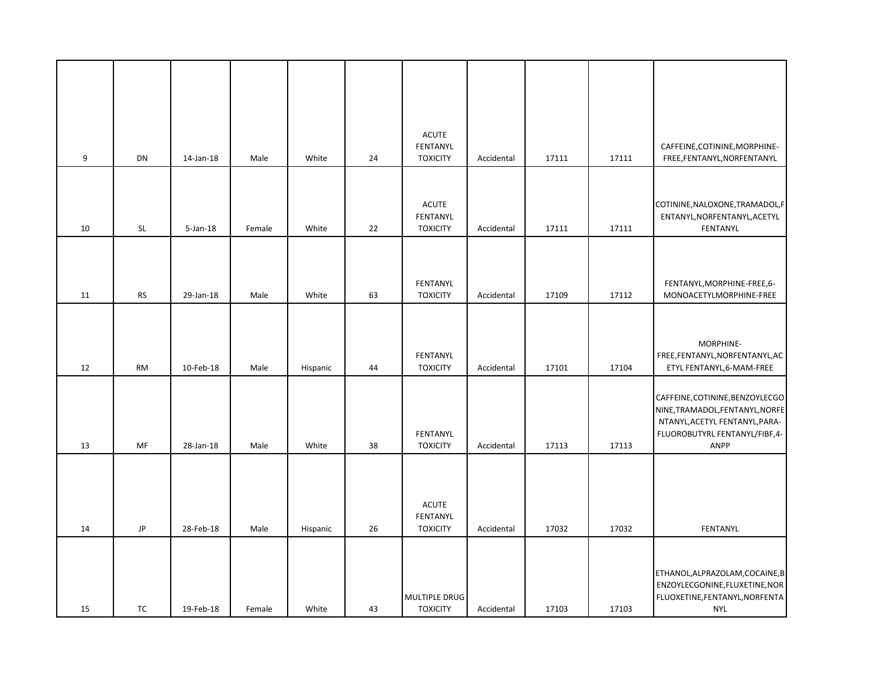|    |           |              |        |          |    | <b>ACUTE</b><br>FENTANYL                    |            |       |       | CAFFEINE, COTININE, MORPHINE-                                                                                                                 |
|----|-----------|--------------|--------|----------|----|---------------------------------------------|------------|-------|-------|-----------------------------------------------------------------------------------------------------------------------------------------------|
| 9  | DN        | 14-Jan-18    | Male   | White    | 24 | <b>TOXICITY</b>                             | Accidental | 17111 | 17111 | FREE,FENTANYL,NORFENTANYL                                                                                                                     |
| 10 | <b>SL</b> | $5 - Jan-18$ | Female | White    | 22 | <b>ACUTE</b><br>FENTANYL<br><b>TOXICITY</b> | Accidental | 17111 | 17111 | COTININE, NALOXONE, TRAMADOL, F<br>ENTANYL, NORFENTANYL, ACETYL<br>FENTANYL                                                                   |
| 11 | <b>RS</b> | 29-Jan-18    | Male   | White    | 63 | FENTANYL<br><b>TOXICITY</b>                 | Accidental | 17109 | 17112 | FENTANYL, MORPHINE-FREE, 6-<br>MONOACETYLMORPHINE-FREE                                                                                        |
| 12 | <b>RM</b> | 10-Feb-18    | Male   | Hispanic | 44 | FENTANYL<br><b>TOXICITY</b>                 | Accidental | 17101 | 17104 | MORPHINE-<br>FREE,FENTANYL,NORFENTANYL,AC<br>ETYL FENTANYL, 6-MAM-FREE                                                                        |
| 13 | MF        | 28-Jan-18    | Male   | White    | 38 | FENTANYL<br><b>TOXICITY</b>                 | Accidental | 17113 | 17113 | CAFFEINE, COTININE, BENZOYLECGO<br>NINE, TRAMADOL, FENTANYL, NORFE<br>NTANYL, ACETYL FENTANYL, PARA-<br>FLUOROBUTYRL FENTANYL/FIBF,4-<br>ANPP |
| 14 | JP        | 28-Feb-18    | Male   | Hispanic | 26 | <b>ACUTE</b><br>FENTANYL<br><b>TOXICITY</b> | Accidental | 17032 | 17032 | FENTANYL                                                                                                                                      |
| 15 | TC        | 19-Feb-18    | Female | White    | 43 | MULTIPLE DRUG<br><b>TOXICITY</b>            | Accidental | 17103 | 17103 | ETHANOL, ALPRAZOLAM, COCAINE, B<br>ENZOYLECGONINE, FLUXETINE, NOR<br>FLUOXETINE, FENTANYL, NORFENTA<br><b>NYL</b>                             |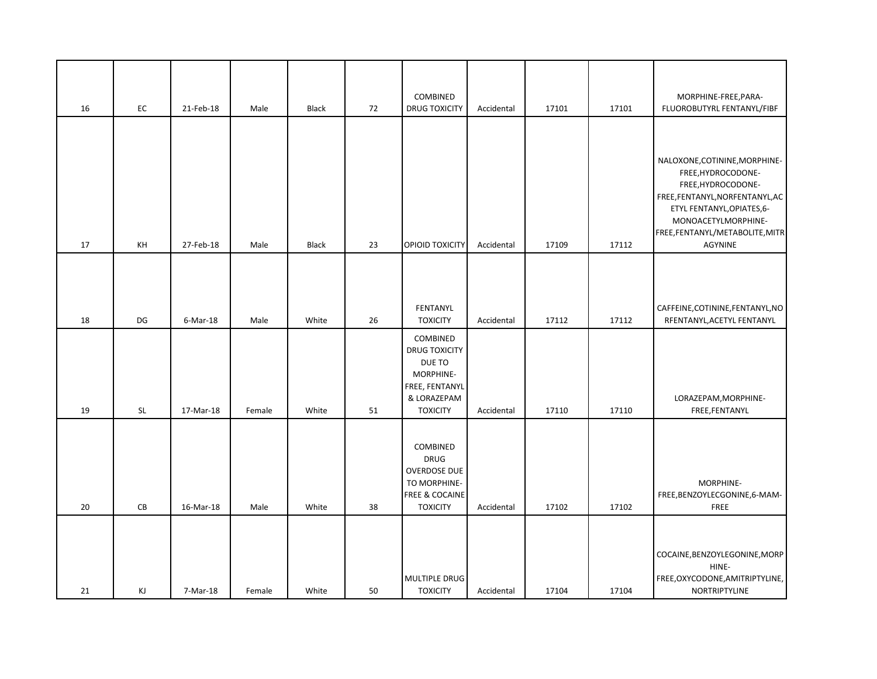| 16 | EC        | 21-Feb-18   | Male   | <b>Black</b> | 72 | COMBINED<br><b>DRUG TOXICITY</b>                                                                            | Accidental | 17101 | 17101 | MORPHINE-FREE, PARA-<br>FLUOROBUTYRL FENTANYL/FIBF                                                                              |
|----|-----------|-------------|--------|--------------|----|-------------------------------------------------------------------------------------------------------------|------------|-------|-------|---------------------------------------------------------------------------------------------------------------------------------|
|    |           |             |        |              |    |                                                                                                             |            |       |       | NALOXONE, COTININE, MORPHINE-<br>FREE, HYDROCODONE-<br>FREE, HYDROCODONE-                                                       |
| 17 | KH        | 27-Feb-18   | Male   | <b>Black</b> | 23 | OPIOID TOXICITY                                                                                             | Accidental | 17109 | 17112 | FREE,FENTANYL,NORFENTANYL,AC<br>ETYL FENTANYL, OPIATES, 6-<br>MONOACETYLMORPHINE-<br>FREE, FENTANYL/METABOLITE, MITR<br>AGYNINE |
|    |           |             |        |              |    |                                                                                                             |            |       |       |                                                                                                                                 |
| 18 | DG        | $6$ -Mar-18 | Male   | White        | 26 | FENTANYL<br><b>TOXICITY</b>                                                                                 | Accidental | 17112 | 17112 | CAFFEINE, COTININE, FENTANYL, NO<br>RFENTANYL, ACETYL FENTANYL                                                                  |
| 19 | <b>SL</b> | 17-Mar-18   | Female | White        | 51 | COMBINED<br><b>DRUG TOXICITY</b><br>DUE TO<br>MORPHINE-<br>FREE, FENTANYL<br>& LORAZEPAM<br><b>TOXICITY</b> | Accidental | 17110 | 17110 | LORAZEPAM, MORPHINE-<br>FREE, FENTANYL                                                                                          |
| 20 | CB        | 16-Mar-18   | Male   | White        | 38 | COMBINED<br><b>DRUG</b><br><b>OVERDOSE DUE</b><br>TO MORPHINE-<br>FREE & COCAINE<br><b>TOXICITY</b>         | Accidental | 17102 | 17102 | MORPHINE-<br>FREE, BENZOYLECGONINE, 6-MAM-<br><b>FREE</b>                                                                       |
| 21 | КJ        | 7-Mar-18    | Female | White        | 50 | MULTIPLE DRUG<br><b>TOXICITY</b>                                                                            | Accidental | 17104 | 17104 | COCAINE, BENZOYLEGONINE, MORP<br>HINE-<br>FREE, OXYCODONE, AMITRIPTYLINE,<br>NORTRIPTYLINE                                      |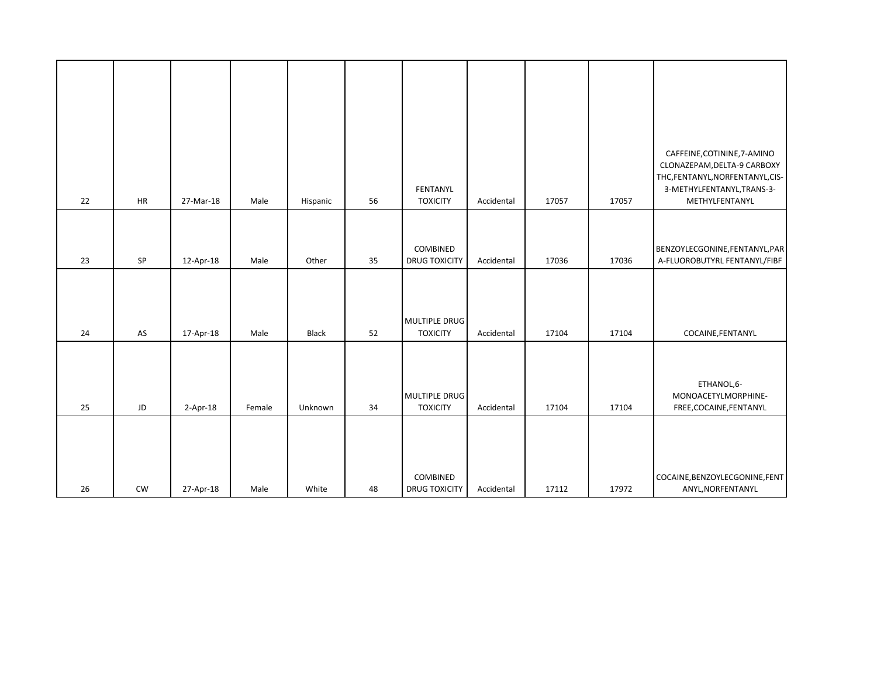| 22 | HR        | 27-Mar-18  | Male   | Hispanic | 56 | FENTANYL<br><b>TOXICITY</b>      | Accidental | 17057 | 17057 | CAFFEINE, COTININE, 7-AMINO<br>CLONAZEPAM, DELTA-9 CARBOXY<br>THC,FENTANYL,NORFENTANYL,CIS-<br>3-METHYLFENTANYL, TRANS-3-<br>METHYLFENTANYL |
|----|-----------|------------|--------|----------|----|----------------------------------|------------|-------|-------|---------------------------------------------------------------------------------------------------------------------------------------------|
| 23 | SP        | 12-Apr-18  | Male   | Other    | 35 | COMBINED<br><b>DRUG TOXICITY</b> | Accidental | 17036 | 17036 | BENZOYLECGONINE,FENTANYL,PAR<br>A-FLUOROBUTYRL FENTANYL/FIBF                                                                                |
| 24 | AS        | 17-Apr-18  | Male   | Black    | 52 | MULTIPLE DRUG<br><b>TOXICITY</b> | Accidental | 17104 | 17104 | COCAINE, FENTANYL                                                                                                                           |
| 25 | JD        | $2-Apr-18$ | Female | Unknown  | 34 | MULTIPLE DRUG<br><b>TOXICITY</b> | Accidental | 17104 | 17104 | ETHANOL,6-<br>MONOACETYLMORPHINE-<br>FREE, COCAINE, FENTANYL                                                                                |
| 26 | <b>CW</b> | 27-Apr-18  | Male   | White    | 48 | COMBINED<br><b>DRUG TOXICITY</b> | Accidental | 17112 | 17972 | COCAINE, BENZOYLECGONINE, FENT<br>ANYL, NORFENTANYL                                                                                         |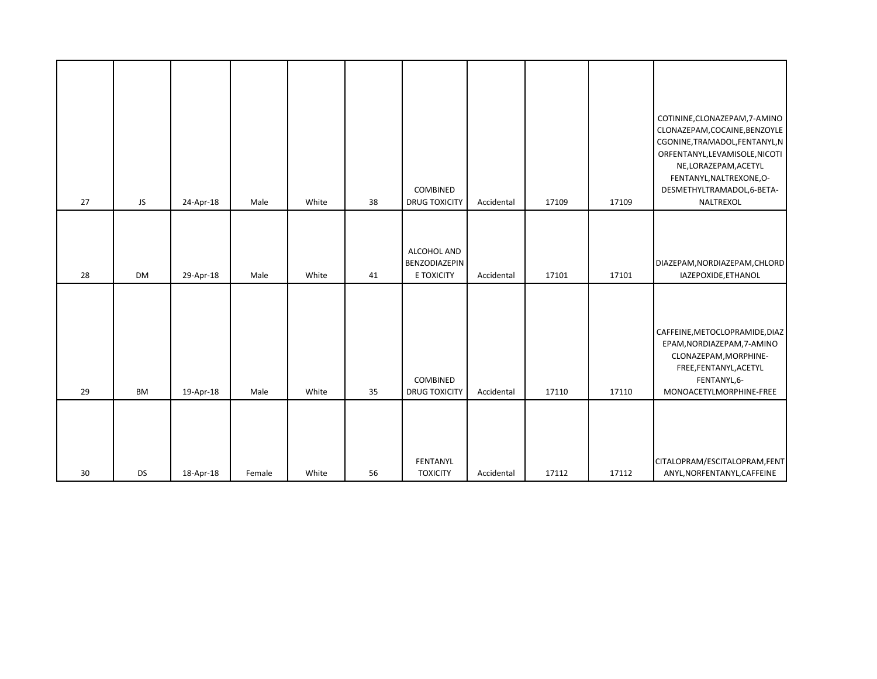|    |           |           |        |       |    |                                            |            |       |       | COTININE, CLONAZEPAM, 7-AMINO<br>CLONAZEPAM, COCAINE, BENZOYLE<br>CGONINE, TRAMADOL, FENTANYL, N<br>ORFENTANYL,LEVAMISOLE,NICOTI<br>NE,LORAZEPAM,ACETYL<br>FENTANYL, NALTREXONE, O- |
|----|-----------|-----------|--------|-------|----|--------------------------------------------|------------|-------|-------|-------------------------------------------------------------------------------------------------------------------------------------------------------------------------------------|
| 27 | JS.       | 24-Apr-18 | Male   | White | 38 | COMBINED<br><b>DRUG TOXICITY</b>           | Accidental | 17109 | 17109 | DESMETHYLTRAMADOL,6-BETA-<br>NALTREXOL                                                                                                                                              |
| 28 | DM        | 29-Apr-18 | Male   | White | 41 | ALCOHOL AND<br>BENZODIAZEPIN<br>E TOXICITY | Accidental | 17101 | 17101 | DIAZEPAM, NORDIAZEPAM, CHLORD<br>IAZEPOXIDE, ETHANOL                                                                                                                                |
| 29 | <b>BM</b> | 19-Apr-18 | Male   | White | 35 | COMBINED<br><b>DRUG TOXICITY</b>           | Accidental | 17110 | 17110 | CAFFEINE, METOCLOPRAMIDE, DIAZ<br>EPAM, NORDIAZEPAM, 7-AMINO<br>CLONAZEPAM, MORPHINE-<br>FREE,FENTANYL,ACETYL<br>FENTANYL, 6-<br>MONOACETYLMORPHINE-FREE                            |
| 30 | <b>DS</b> | 18-Apr-18 | Female | White | 56 | FENTANYL<br><b>TOXICITY</b>                | Accidental | 17112 | 17112 | CITALOPRAM/ESCITALOPRAM, FENT<br>ANYL, NORFENTANYL, CAFFEINE                                                                                                                        |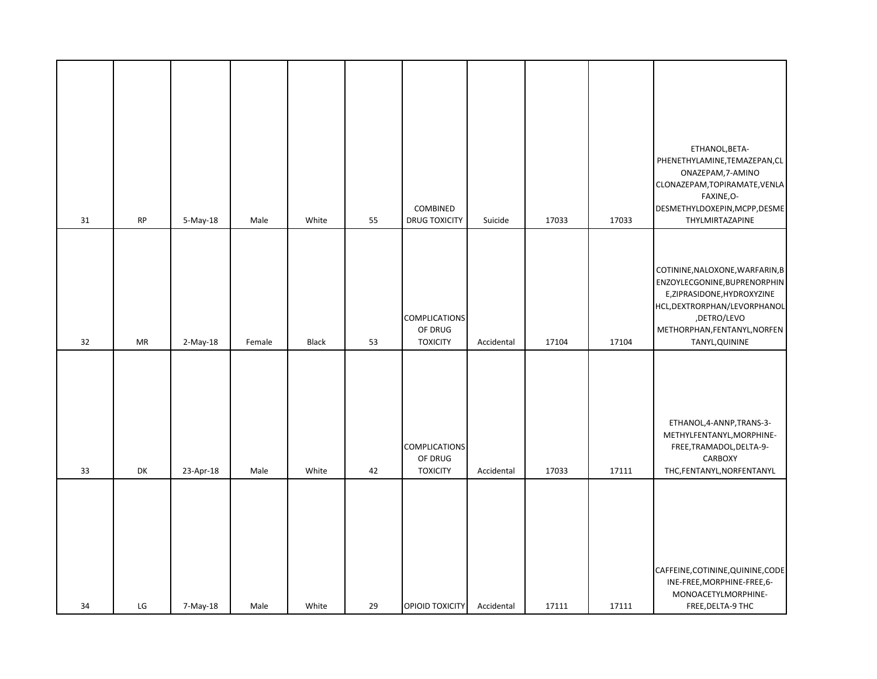| 31 | $\mathsf{RP}$ | 5-May-18  | Male   | White | 55 | COMBINED<br><b>DRUG TOXICITY</b>                   | Suicide    | 17033 | 17033 | ETHANOL, BETA-<br>PHENETHYLAMINE, TEMAZEPAN, CL<br>ONAZEPAM, 7-AMINO<br>CLONAZEPAM, TOPIRAMATE, VENLA<br>FAXINE, O-<br>DESMETHYLDOXEPIN, MCPP, DESME<br>THYLMIRTAZAPINE                       |
|----|---------------|-----------|--------|-------|----|----------------------------------------------------|------------|-------|-------|-----------------------------------------------------------------------------------------------------------------------------------------------------------------------------------------------|
| 32 | MR            | 2-May-18  | Female | Black | 53 | <b>COMPLICATIONS</b><br>OF DRUG<br><b>TOXICITY</b> | Accidental | 17104 | 17104 | COTININE, NALOXONE, WARFARIN, B<br>ENZOYLECGONINE, BUPRENORPHIN<br>E,ZIPRASIDONE,HYDROXYZINE<br>HCL, DEXTRORPHAN/LEVORPHANOL<br>,DETRO/LEVO<br>METHORPHAN, FENTANYL, NORFEN<br>TANYL, QUININE |
|    |               |           |        |       |    |                                                    |            |       |       |                                                                                                                                                                                               |
| 33 | DK            | 23-Apr-18 | Male   | White | 42 | COMPLICATIONS<br>OF DRUG<br><b>TOXICITY</b>        | Accidental | 17033 | 17111 | ETHANOL, 4-ANNP, TRANS-3-<br>METHYLFENTANYL, MORPHINE-<br>FREE, TRAMADOL, DELTA-9-<br>CARBOXY<br>THC,FENTANYL,NORFENTANYL                                                                     |
|    |               |           |        |       |    |                                                    |            |       |       |                                                                                                                                                                                               |
| 34 | LG            | 7-May-18  | Male   | White | 29 | <b>OPIOID TOXICITY</b>                             | Accidental | 17111 | 17111 | CAFFEINE, COTININE, QUININE, CODE<br>INE-FREE, MORPHINE-FREE, 6-<br>MONOACETYLMORPHINE-<br>FREE, DELTA-9 THC                                                                                  |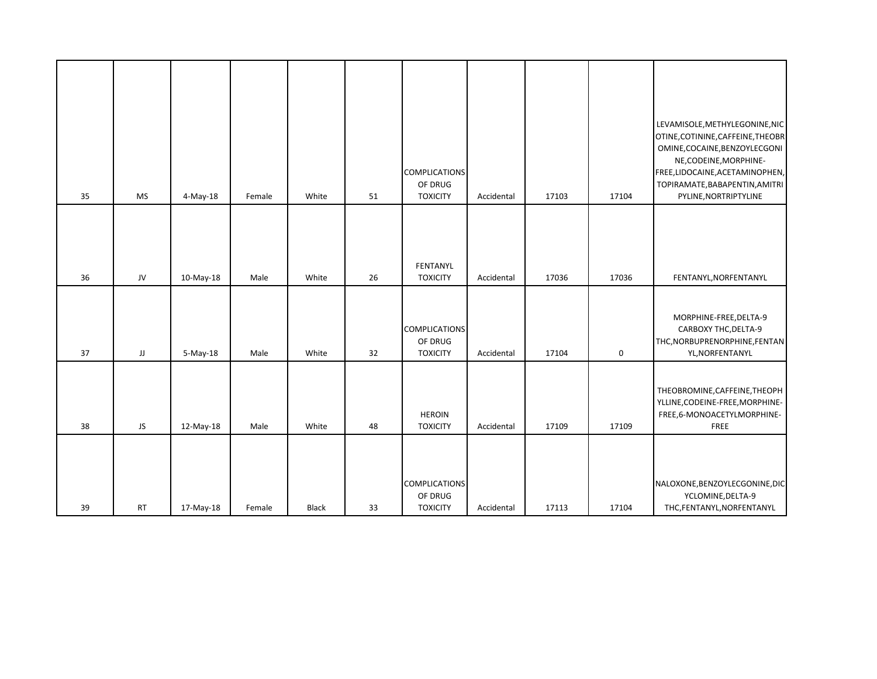| 35 | <b>MS</b> | 4-May-18  | Female | White        | 51 | <b>COMPLICATIONS</b><br>OF DRUG<br><b>TOXICITY</b> | Accidental | 17103 | 17104 | LEVAMISOLE, METHYLEGONINE, NIC<br>OTINE, COTININE, CAFFEINE, THEOBR<br>OMINE, COCAINE, BENZOYLECGONI<br>NE, CODEINE, MORPHINE-<br>FREE,LIDOCAINE, ACETAMINOPHEN,<br>TOPIRAMATE, BABAPENTIN, AMITRI<br>PYLINE, NORTRIPTYLINE |
|----|-----------|-----------|--------|--------------|----|----------------------------------------------------|------------|-------|-------|-----------------------------------------------------------------------------------------------------------------------------------------------------------------------------------------------------------------------------|
| 36 | JV        | 10-May-18 | Male   | White        | 26 | FENTANYL<br><b>TOXICITY</b>                        | Accidental | 17036 | 17036 | FENTANYL, NORFENTANYL                                                                                                                                                                                                       |
| 37 | JJ        | 5-May-18  | Male   | White        | 32 | <b>COMPLICATIONS</b><br>OF DRUG<br><b>TOXICITY</b> | Accidental | 17104 | 0     | MORPHINE-FREE, DELTA-9<br>CARBOXY THC, DELTA-9<br>THC, NORBUPRENORPHINE, FENTAN<br>YL, NORFENTANYL                                                                                                                          |
| 38 | JS        | 12-May-18 | Male   | White        | 48 | <b>HEROIN</b><br><b>TOXICITY</b>                   | Accidental | 17109 | 17109 | THEOBROMINE, CAFFEINE, THEOPH<br>YLLINE, CODEINE-FREE, MORPHINE-<br>FREE,6-MONOACETYLMORPHINE-<br>FREE                                                                                                                      |
| 39 | <b>RT</b> | 17-May-18 | Female | <b>Black</b> | 33 | <b>COMPLICATIONS</b><br>OF DRUG<br><b>TOXICITY</b> | Accidental | 17113 | 17104 | NALOXONE, BENZOYLECGONINE, DIC<br>YCLOMINE, DELTA-9<br>THC, FENTANYL, NORFENTANYL                                                                                                                                           |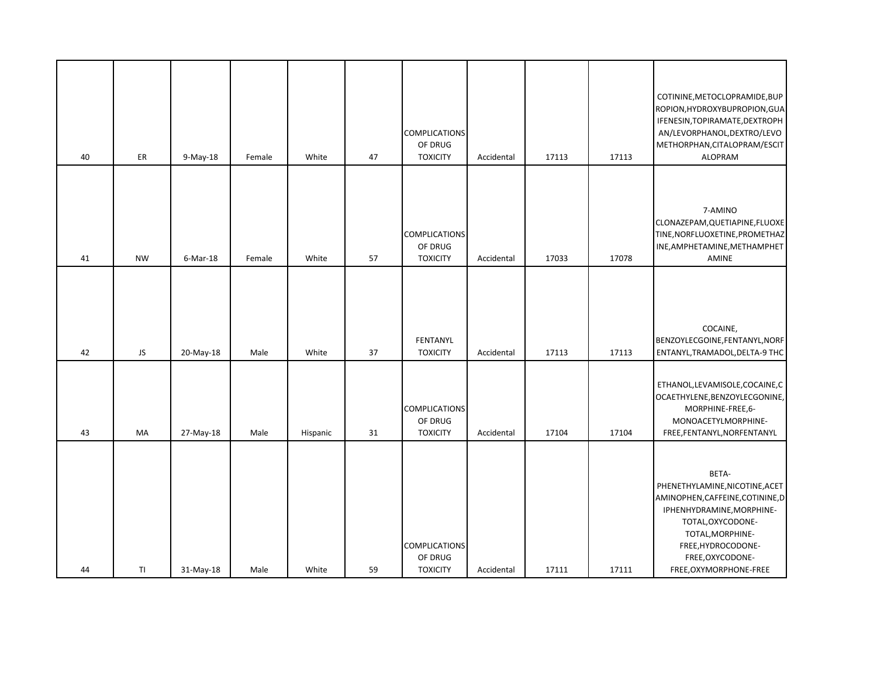| 40 | ER        | 9-May-18  | Female | White    | 47 | <b>COMPLICATIONS</b><br>OF DRUG<br><b>TOXICITY</b> | Accidental | 17113 | 17113 | COTININE, METOCLOPRAMIDE, BUP<br>ROPION, HYDROXYBUPROPION, GUA<br>IFENESIN, TOPIRAMATE, DEXTROPH<br>AN/LEVORPHANOL, DEXTRO/LEVO<br>METHORPHAN, CITALOPRAM/ESCIT<br><b>ALOPRAM</b>                                     |
|----|-----------|-----------|--------|----------|----|----------------------------------------------------|------------|-------|-------|-----------------------------------------------------------------------------------------------------------------------------------------------------------------------------------------------------------------------|
| 41 | <b>NW</b> | 6-Mar-18  | Female | White    | 57 | <b>COMPLICATIONS</b><br>OF DRUG<br><b>TOXICITY</b> | Accidental | 17033 | 17078 | 7-AMINO<br>CLONAZEPAM, QUETIAPINE, FLUOXE<br>TINE, NORFLUOXETINE, PROMETHAZ<br>INE, AMPHETAMINE, METHAMPHET<br><b>AMINE</b>                                                                                           |
| 42 | JS        | 20-May-18 | Male   | White    | 37 | FENTANYL<br><b>TOXICITY</b>                        | Accidental | 17113 | 17113 | COCAINE,<br>BENZOYLECGOINE, FENTANYL, NORF<br>ENTANYL, TRAMADOL, DELTA-9 THC                                                                                                                                          |
| 43 | <b>MA</b> | 27-May-18 | Male   | Hispanic | 31 | <b>COMPLICATIONS</b><br>OF DRUG<br><b>TOXICITY</b> | Accidental | 17104 | 17104 | ETHANOL, LEVAMISOLE, COCAINE, C<br>OCAETHYLENE, BENZOYLECGONINE,<br>MORPHINE-FREE,6-<br>MONOACETYLMORPHINE-<br>FREE, FENTANYL, NORFENTANYL                                                                            |
| 44 | TI        | 31-May-18 | Male   | White    | 59 | COMPLICATIONS<br>OF DRUG<br><b>TOXICITY</b>        | Accidental | 17111 | 17111 | BETA-<br>PHENETHYLAMINE, NICOTINE, ACET<br>AMINOPHEN, CAFFEINE, COTININE, D<br>IPHENHYDRAMINE, MORPHINE-<br>TOTAL, OXYCODONE-<br>TOTAL, MORPHINE-<br>FREE, HYDROCODONE-<br>FREE, OXYCODONE-<br>FREE, OXYMORPHONE-FREE |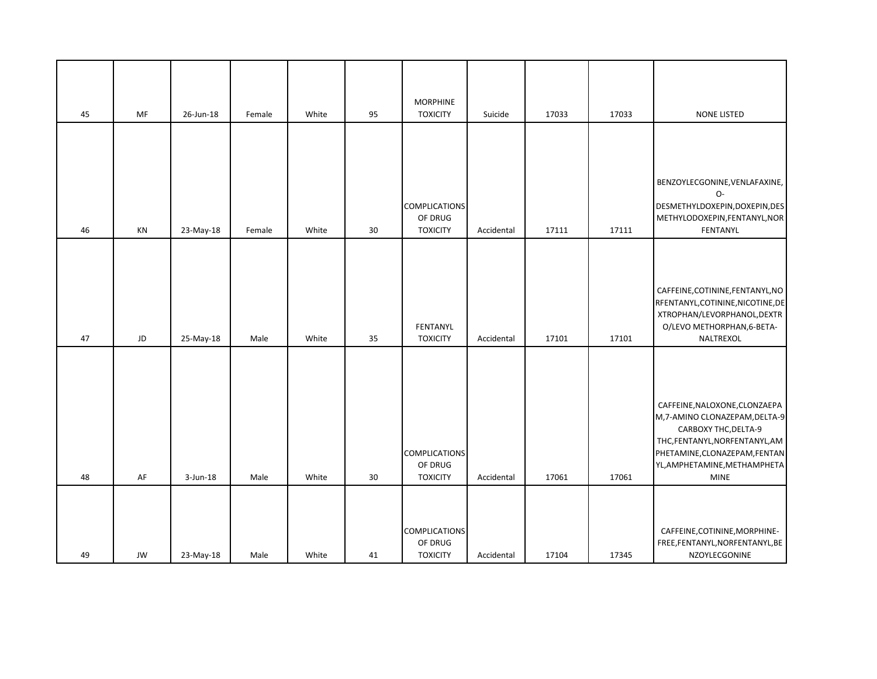| 45 | <b>MF</b> | 26-Jun-18   | Female | White | 95 | <b>MORPHINE</b><br><b>TOXICITY</b>                 | Suicide    | 17033 | 17033 | <b>NONE LISTED</b>                                                                                                                                                                                    |
|----|-----------|-------------|--------|-------|----|----------------------------------------------------|------------|-------|-------|-------------------------------------------------------------------------------------------------------------------------------------------------------------------------------------------------------|
|    |           |             |        |       |    |                                                    |            |       |       |                                                                                                                                                                                                       |
|    |           |             |        |       |    | <b>COMPLICATIONS</b><br>OF DRUG                    |            |       |       | BENZOYLECGONINE, VENLAFAXINE,<br>$O-$<br>DESMETHYLDOXEPIN, DOXEPIN, DES<br>METHYLODOXEPIN, FENTANYL, NOR                                                                                              |
| 46 | KN        | 23-May-18   | Female | White | 30 | <b>TOXICITY</b>                                    | Accidental | 17111 | 17111 | FENTANYL                                                                                                                                                                                              |
| 47 | JD        | 25-May-18   | Male   | White | 35 | FENTANYL<br><b>TOXICITY</b>                        | Accidental | 17101 | 17101 | CAFFEINE, COTININE, FENTANYL, NO<br>RFENTANYL, COTININE, NICOTINE, DE<br>XTROPHAN/LEVORPHANOL, DEXTR<br>O/LEVO METHORPHAN, 6-BETA-<br>NALTREXOL                                                       |
| 48 | AF        | $3$ -Jun-18 | Male   | White | 30 | <b>COMPLICATIONS</b><br>OF DRUG<br><b>TOXICITY</b> | Accidental | 17061 | 17061 | CAFFEINE, NALOXONE, CLONZAEPA<br>M,7-AMINO CLONAZEPAM, DELTA-9<br>CARBOXY THC, DELTA-9<br>THC,FENTANYL,NORFENTANYL,AM<br>PHETAMINE, CLONAZEPAM, FENTAN<br>YL, AMPHETAMINE, METHAMPHETA<br><b>MINE</b> |
| 49 | JW        | 23-May-18   | Male   | White | 41 | <b>COMPLICATIONS</b><br>OF DRUG<br><b>TOXICITY</b> | Accidental | 17104 | 17345 | CAFFEINE, COTININE, MORPHINE-<br>FREE, FENTANYL, NORFENTANYL, BE<br>NZOYLECGONINE                                                                                                                     |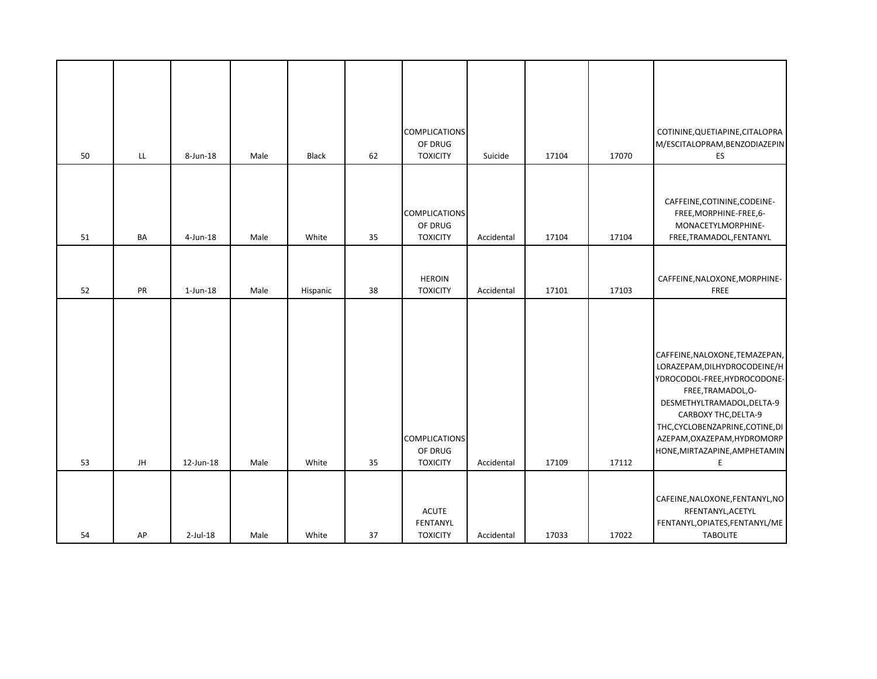| 50 | LL. | 8-Jun-18       | Male | Black    | 62 | <b>COMPLICATIONS</b><br>OF DRUG<br><b>TOXICITY</b> | Suicide    | 17104 | 17070 | COTININE, QUETIAPINE, CITALOPRA<br>M/ESCITALOPRAM, BENZODIAZEPIN<br>ES                                                                                                                                                                                                              |
|----|-----|----------------|------|----------|----|----------------------------------------------------|------------|-------|-------|-------------------------------------------------------------------------------------------------------------------------------------------------------------------------------------------------------------------------------------------------------------------------------------|
| 51 | BA  | $4$ -Jun-18    | Male | White    | 35 | <b>COMPLICATIONS</b><br>OF DRUG<br><b>TOXICITY</b> | Accidental | 17104 | 17104 | CAFFEINE, COTININE, CODEINE-<br>FREE, MORPHINE-FREE, 6-<br>MONACETYLMORPHINE-<br>FREE, TRAMADOL, FENTANYL                                                                                                                                                                           |
| 52 | PR  | $1$ -Jun- $18$ | Male | Hispanic | 38 | <b>HEROIN</b><br><b>TOXICITY</b>                   | Accidental | 17101 | 17103 | CAFFEINE, NALOXONE, MORPHINE-<br>FREE                                                                                                                                                                                                                                               |
| 53 | JH  | 12-Jun-18      | Male | White    | 35 | <b>COMPLICATIONS</b><br>OF DRUG<br><b>TOXICITY</b> | Accidental | 17109 | 17112 | CAFFEINE, NALOXONE, TEMAZEPAN,<br>LORAZEPAM, DILHYDROCODEINE/H<br>YDROCODOL-FREE, HYDROCODONE-<br>FREE, TRAMADOL, O-<br>DESMETHYLTRAMADOL, DELTA-9<br>CARBOXY THC, DELTA-9<br>THC, CYCLOBENZAPRINE, COTINE, DI<br>AZEPAM, OXAZEPAM, HYDROMORP<br>HONE, MIRTAZAPINE, AMPHETAMIN<br>E |
| 54 | AP  | $2$ -Jul-18    | Male | White    | 37 | <b>ACUTE</b><br>FENTANYL<br><b>TOXICITY</b>        | Accidental | 17033 | 17022 | CAFEINE, NALOXONE, FENTANYL, NO<br>RFENTANYL, ACETYL<br>FENTANYL, OPIATES, FENTANYL/ME<br><b>TABOLITE</b>                                                                                                                                                                           |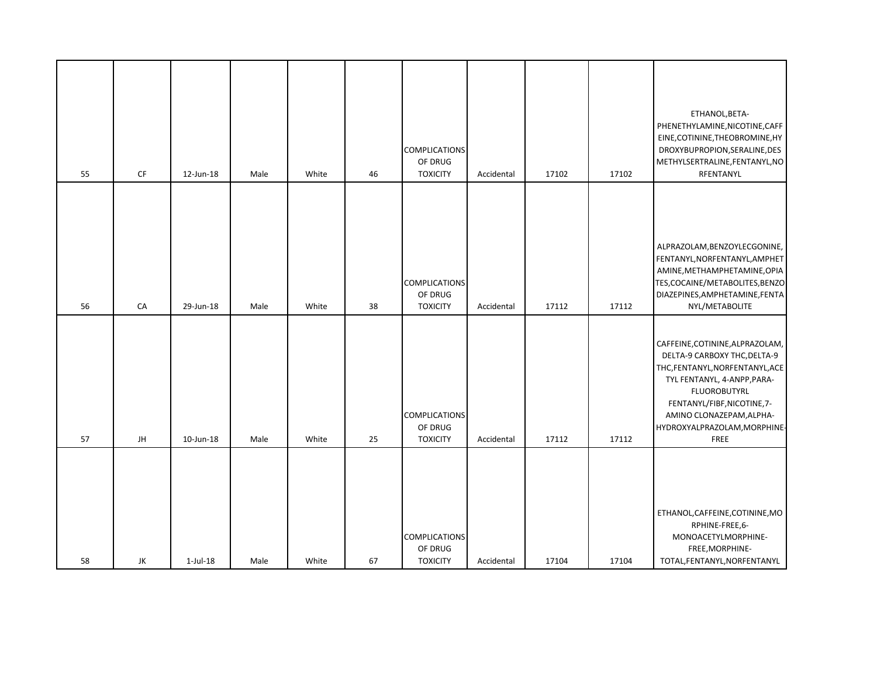| 58                                                                                                                          | 57                                                                                                                                                                                                                                                       | 56                                                                                                                                                                                   | 55                                                                                                                                                                |
|-----------------------------------------------------------------------------------------------------------------------------|----------------------------------------------------------------------------------------------------------------------------------------------------------------------------------------------------------------------------------------------------------|--------------------------------------------------------------------------------------------------------------------------------------------------------------------------------------|-------------------------------------------------------------------------------------------------------------------------------------------------------------------|
| JK                                                                                                                          | JH                                                                                                                                                                                                                                                       | CA                                                                                                                                                                                   | CF                                                                                                                                                                |
| $1$ -Jul- $18$                                                                                                              | 10-Jun-18                                                                                                                                                                                                                                                | 29-Jun-18                                                                                                                                                                            | 12-Jun-18                                                                                                                                                         |
| Male                                                                                                                        | Male                                                                                                                                                                                                                                                     | Male                                                                                                                                                                                 | Male                                                                                                                                                              |
| White                                                                                                                       | White                                                                                                                                                                                                                                                    | White                                                                                                                                                                                | White                                                                                                                                                             |
| 67                                                                                                                          | 25                                                                                                                                                                                                                                                       | 38                                                                                                                                                                                   | 46                                                                                                                                                                |
| <b>COMPLICATIONS</b><br>OF DRUG<br><b>TOXICITY</b>                                                                          | <b>COMPLICATIONS</b><br>OF DRUG<br><b>TOXICITY</b>                                                                                                                                                                                                       | <b>COMPLICATIONS</b><br>OF DRUG<br><b>TOXICITY</b>                                                                                                                                   | <b>COMPLICATIONS</b><br>OF DRUG<br><b>TOXICITY</b>                                                                                                                |
| Accidental                                                                                                                  | Accidental                                                                                                                                                                                                                                               | Accidental                                                                                                                                                                           | Accidental                                                                                                                                                        |
| 17104                                                                                                                       | 17112                                                                                                                                                                                                                                                    | 17112                                                                                                                                                                                | 17102                                                                                                                                                             |
| 17104                                                                                                                       | 17112                                                                                                                                                                                                                                                    | 17112                                                                                                                                                                                | 17102                                                                                                                                                             |
| ETHANOL, CAFFEINE, COTININE, MO<br>RPHINE-FREE,6-<br>MONOACETYLMORPHINE-<br>FREE, MORPHINE-<br>TOTAL, FENTANYL, NORFENTANYL | CAFFEINE, COTININE, ALPRAZOLAM,<br>DELTA-9 CARBOXY THC, DELTA-9<br>THC,FENTANYL,NORFENTANYL,ACE<br>TYL FENTANYL, 4-ANPP, PARA-<br><b>FLUOROBUTYRL</b><br>FENTANYL/FIBF, NICOTINE, 7-<br>AMINO CLONAZEPAM, ALPHA-<br>HYDROXYALPRAZOLAM, MORPHINE-<br>FREE | ALPRAZOLAM, BENZOYLECGONINE,<br>FENTANYL, NORFENTANYL, AMPHET<br>AMINE, METHAMPHETAMINE, OPIA<br>TES, COCAINE/METABOLITES, BENZO<br>DIAZEPINES, AMPHETAMINE, FENTA<br>NYL/METABOLITE | ETHANOL, BETA-<br>PHENETHYLAMINE, NICOTINE, CAFF<br>EINE, COTININE, THEOBROMINE, HY<br>DROXYBUPROPION, SERALINE, DES<br>METHYLSERTRALINE,FENTANYL,NO<br>RFENTANYL |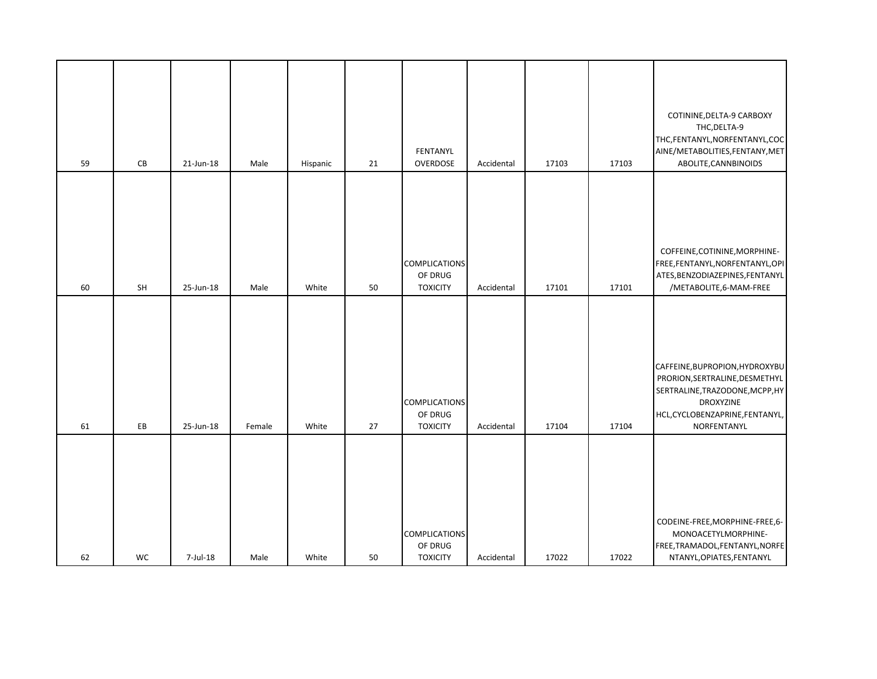| 59 | CB | 21-Jun-18 | Male   | Hispanic | 21 | FENTANYL<br>OVERDOSE                               | Accidental | 17103 | 17103 | COTININE, DELTA-9 CARBOXY<br>THC, DELTA-9<br>THC,FENTANYL,NORFENTANYL,COC<br>AINE/METABOLITIES, FENTANY, MET<br>ABOLITE, CANNBINOIDS                                      |
|----|----|-----------|--------|----------|----|----------------------------------------------------|------------|-------|-------|---------------------------------------------------------------------------------------------------------------------------------------------------------------------------|
| 60 | SH | 25-Jun-18 | Male   | White    | 50 | <b>COMPLICATIONS</b><br>OF DRUG<br><b>TOXICITY</b> | Accidental | 17101 | 17101 | COFFEINE, COTININE, MORPHINE-<br>FREE, FENTANYL, NORFENTANYL, OPI<br>ATES, BENZODIAZEPINES, FENTANYL<br>/METABOLITE, 6-MAM-FREE                                           |
| 61 | EB | 25-Jun-18 | Female | White    | 27 | <b>COMPLICATIONS</b><br>OF DRUG<br><b>TOXICITY</b> | Accidental | 17104 | 17104 | CAFFEINE, BUPROPION, HYDROXYBU<br>PRORION, SERTRALINE, DESMETHYL<br>SERTRALINE, TRAZODONE, MCPP, HY<br><b>DROXYZINE</b><br>HCL, CYCLOBENZAPRINE, FENTANYL,<br>NORFENTANYL |
| 62 | WC | 7-Jul-18  | Male   | White    | 50 | <b>COMPLICATIONS</b><br>OF DRUG<br><b>TOXICITY</b> | Accidental | 17022 | 17022 | CODEINE-FREE, MORPHINE-FREE, 6-<br>MONOACETYLMORPHINE-<br>FREE, TRAMADOL, FENTANYL, NORFE<br>NTANYL, OPIATES, FENTANYL                                                    |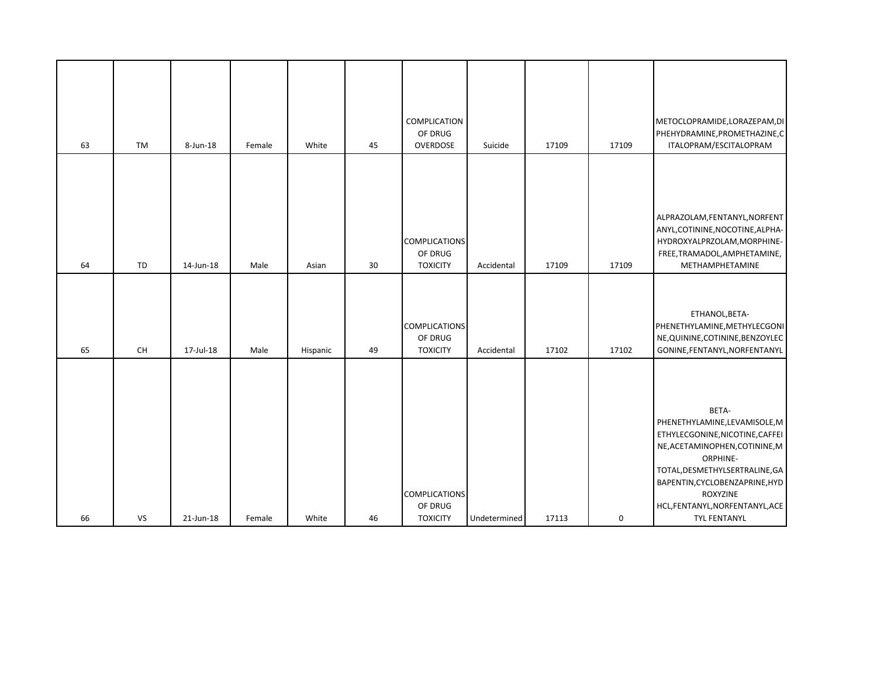| 63 | <b>TM</b> | 8-Jun-18  | Female | White    | 45 | COMPLICATION<br>OF DRUG<br>OVERDOSE                | Suicide      | 17109 | 17109     | METOCLOPRAMIDE, LORAZEPAM, DI<br>PHEHYDRAMINE, PROMETHAZINE, C<br>ITALOPRAM/ESCITALOPRAM                                                                                                                                                                       |
|----|-----------|-----------|--------|----------|----|----------------------------------------------------|--------------|-------|-----------|----------------------------------------------------------------------------------------------------------------------------------------------------------------------------------------------------------------------------------------------------------------|
| 64 | TD        | 14-Jun-18 | Male   | Asian    | 30 | <b>COMPLICATIONS</b><br>OF DRUG<br><b>TOXICITY</b> | Accidental   | 17109 | 17109     | ALPRAZOLAM, FENTANYL, NORFENT<br>ANYL, COTININE, NOCOTINE, ALPHA-<br>HYDROXYALPRZOLAM, MORPHINE-<br>FREE, TRAMADOL, AMPHETAMINE,<br>METHAMPHETAMINE                                                                                                            |
| 65 | <b>CH</b> | 17-Jul-18 | Male   | Hispanic | 49 | <b>COMPLICATIONS</b><br>OF DRUG<br><b>TOXICITY</b> | Accidental   | 17102 | 17102     | ETHANOL, BETA-<br>PHENETHYLAMINE, METHYLECGONI<br>NE, QUININE, COTININE, BENZOYLEC<br>GONINE, FENTANYL, NORFENTANYL                                                                                                                                            |
| 66 | VS        | 21-Jun-18 | Female | White    | 46 | <b>COMPLICATIONS</b><br>OF DRUG<br><b>TOXICITY</b> | Undetermined | 17113 | $\pmb{0}$ | BETA-<br>PHENETHYLAMINE, LEVAMISOLE, M<br>ETHYLECGONINE, NICOTINE, CAFFEI<br>NE, ACETAMINOPHEN, COTININE, M<br>ORPHINE-<br>TOTAL, DESMETHYLSERTRALINE, GA<br>BAPENTIN, CYCLOBENZAPRINE, HYD<br>ROXYZINE<br>HCL,FENTANYL,NORFENTANYL,ACE<br><b>TYL FENTANYL</b> |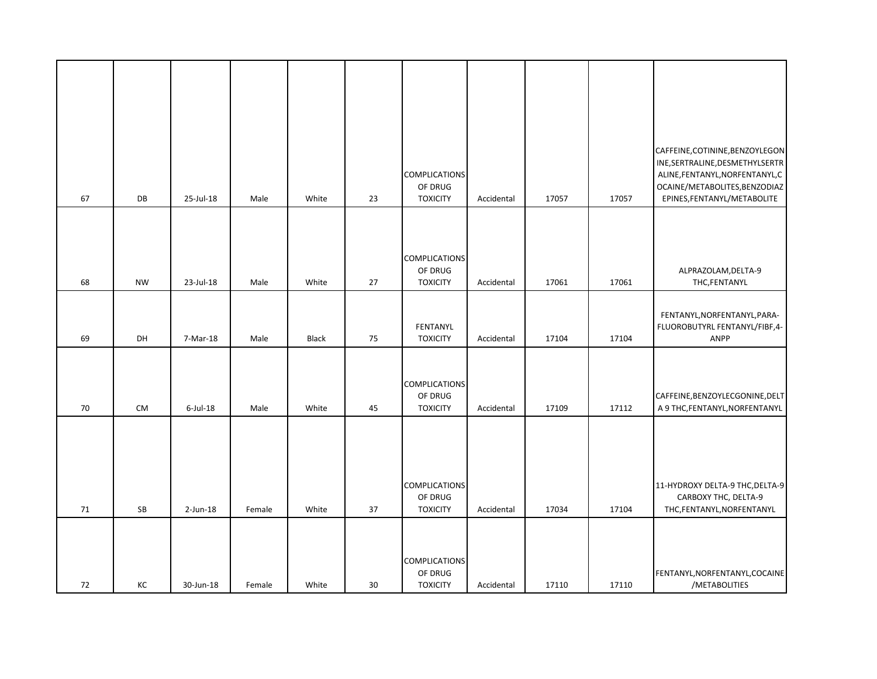|    |           |             |        |       |    |                                 |            |       |       | CAFFEINE, COTININE, BENZOYLEGON                                    |
|----|-----------|-------------|--------|-------|----|---------------------------------|------------|-------|-------|--------------------------------------------------------------------|
|    |           |             |        |       |    | <b>COMPLICATIONS</b>            |            |       |       | INE, SERTRALINE, DESMETHYLSERTR<br>ALINE, FENTANYL, NORFENTANYL, C |
| 67 | DB        | 25-Jul-18   | Male   | White | 23 | OF DRUG<br><b>TOXICITY</b>      | Accidental | 17057 | 17057 | OCAINE/METABOLITES, BENZODIAZ<br>EPINES, FENTANYL/METABOLITE       |
|    |           |             |        |       |    |                                 |            |       |       |                                                                    |
|    |           |             |        |       |    |                                 |            |       |       |                                                                    |
|    |           |             |        |       |    | <b>COMPLICATIONS</b>            |            |       |       |                                                                    |
|    |           |             |        |       |    | OF DRUG                         |            |       |       | ALPRAZOLAM, DELTA-9                                                |
| 68 | <b>NW</b> | 23-Jul-18   | Male   | White | 27 | <b>TOXICITY</b>                 | Accidental | 17061 | 17061 | THC,FENTANYL                                                       |
|    |           |             |        |       |    |                                 |            |       |       | FENTANYL, NORFENTANYL, PARA-                                       |
|    |           |             |        |       |    | FENTANYL                        |            |       |       | FLUOROBUTYRL FENTANYL/FIBF,4-                                      |
| 69 | DH        | 7-Mar-18    | Male   | Black | 75 | <b>TOXICITY</b>                 | Accidental | 17104 | 17104 | ANPP                                                               |
|    |           |             |        |       |    |                                 |            |       |       |                                                                    |
|    |           |             |        |       |    | <b>COMPLICATIONS</b><br>OF DRUG |            |       |       |                                                                    |
| 70 | <b>CM</b> | $6$ -Jul-18 | Male   | White | 45 | <b>TOXICITY</b>                 | Accidental | 17109 | 17112 | CAFFEINE, BENZOYLECGONINE, DELT<br>A 9 THC, FENTANYL, NORFENTANYL  |
|    |           |             |        |       |    |                                 |            |       |       |                                                                    |
|    |           |             |        |       |    |                                 |            |       |       |                                                                    |
|    |           |             |        |       |    |                                 |            |       |       |                                                                    |
|    |           |             |        |       |    | <b>COMPLICATIONS</b>            |            |       |       | 11-HYDROXY DELTA-9 THC, DELTA-9                                    |
| 71 | SB        | $2$ -Jun-18 | Female | White | 37 | OF DRUG<br><b>TOXICITY</b>      | Accidental | 17034 | 17104 | CARBOXY THC, DELTA-9<br>THC,FENTANYL,NORFENTANYL                   |
|    |           |             |        |       |    |                                 |            |       |       |                                                                    |
|    |           |             |        |       |    |                                 |            |       |       |                                                                    |
|    |           |             |        |       |    | <b>COMPLICATIONS</b>            |            |       |       |                                                                    |
| 72 | КC        | 30-Jun-18   | Female | White | 30 | OF DRUG<br><b>TOXICITY</b>      | Accidental | 17110 | 17110 | FENTANYL, NORFENTANYL, COCAINE<br>/METABOLITIES                    |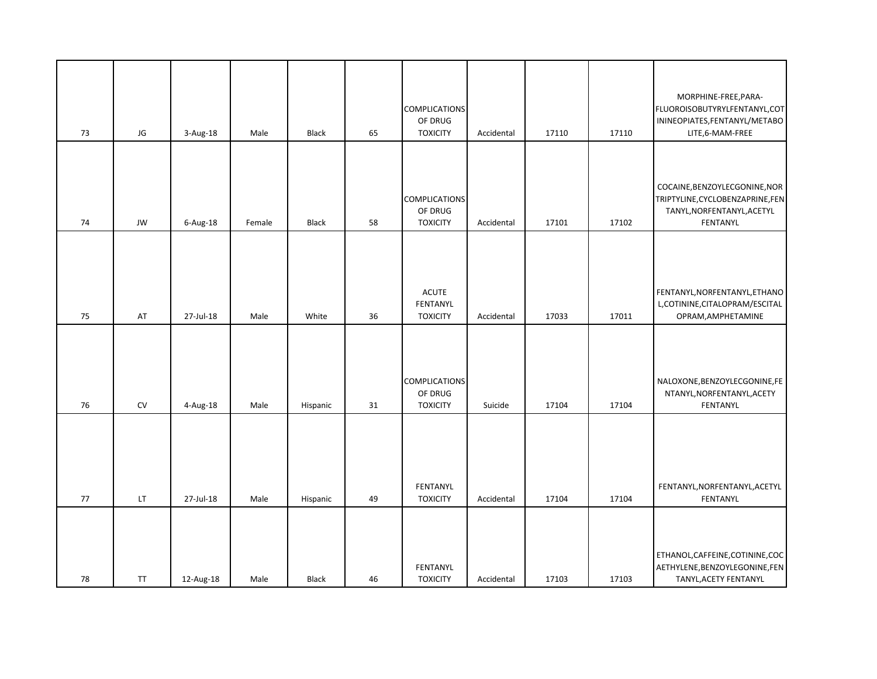| 73 | JG        | 3-Aug-18  | Male   | <b>Black</b> | 65 | COMPLICATIONS<br>OF DRUG<br><b>TOXICITY</b>        | Accidental | 17110 | 17110 | MORPHINE-FREE, PARA-<br>FLUOROISOBUTYRYLFENTANYL,COT<br>ININEOPIATES, FENTANYL/METABO<br>LITE,6-MAM-FREE    |
|----|-----------|-----------|--------|--------------|----|----------------------------------------------------|------------|-------|-------|-------------------------------------------------------------------------------------------------------------|
|    |           |           |        |              |    |                                                    |            |       |       |                                                                                                             |
| 74 | JW        | 6-Aug-18  | Female | <b>Black</b> | 58 | <b>COMPLICATIONS</b><br>OF DRUG<br><b>TOXICITY</b> | Accidental | 17101 | 17102 | COCAINE, BENZOYLECGONINE, NOR<br>TRIPTYLINE, CYCLOBENZAPRINE, FEN<br>TANYL, NORFENTANYL, ACETYL<br>FENTANYL |
|    |           |           |        |              |    |                                                    |            |       |       |                                                                                                             |
| 75 | AT        | 27-Jul-18 | Male   | White        | 36 | <b>ACUTE</b><br>FENTANYL<br><b>TOXICITY</b>        | Accidental | 17033 | 17011 | FENTANYL, NORFENTANYL, ETHANO<br>L, COTININE, CITALOPRAM/ESCITAL<br>OPRAM, AMPHETAMINE                      |
|    |           |           |        |              |    |                                                    |            |       |       |                                                                                                             |
| 76 | CV        | 4-Aug-18  | Male   | Hispanic     | 31 | <b>COMPLICATIONS</b><br>OF DRUG<br><b>TOXICITY</b> | Suicide    | 17104 | 17104 | NALOXONE, BENZOYLECGONINE, FE<br>NTANYL, NORFENTANYL, ACETY<br>FENTANYL                                     |
|    |           |           |        |              |    |                                                    |            |       |       |                                                                                                             |
| 77 | LT.       | 27-Jul-18 | Male   | Hispanic     | 49 | FENTANYL<br><b>TOXICITY</b>                        | Accidental | 17104 | 17104 | FENTANYL, NORFENTANYL, ACETYL<br>FENTANYL                                                                   |
|    |           |           |        |              |    |                                                    |            |       |       |                                                                                                             |
| 78 | <b>TT</b> | 12-Aug-18 | Male   | Black        | 46 | FENTANYL<br><b>TOXICITY</b>                        | Accidental | 17103 | 17103 | ETHANOL, CAFFEINE, COTININE, COC<br>AETHYLENE, BENZOYLEGONINE, FEN<br>TANYL, ACETY FENTANYL                 |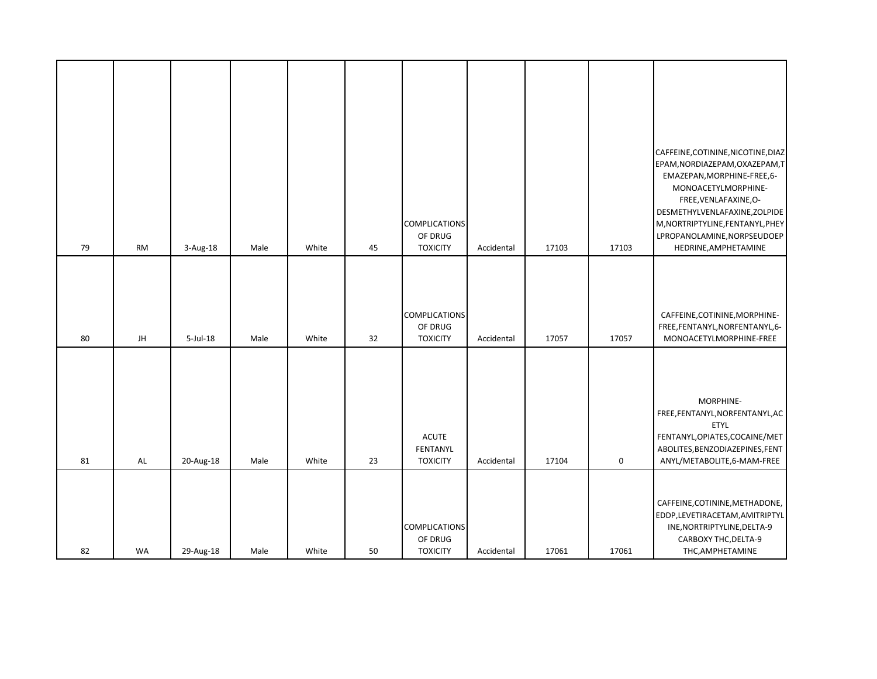|    |           |             |      |       |    |                                                    |            |       |           | CAFFEINE, COTININE, NICOTINE, DIAZ<br>EPAM, NORDIAZEPAM, OXAZEPAM, T<br>EMAZEPAN, MORPHINE-FREE, 6-                                                                      |
|----|-----------|-------------|------|-------|----|----------------------------------------------------|------------|-------|-----------|--------------------------------------------------------------------------------------------------------------------------------------------------------------------------|
| 79 | <b>RM</b> | $3-Aug-18$  | Male | White | 45 | <b>COMPLICATIONS</b><br>OF DRUG<br><b>TOXICITY</b> | Accidental | 17103 | 17103     | MONOACETYLMORPHINE-<br>FREE, VENLAFAXINE, O-<br>DESMETHYLVENLAFAXINE, ZOLPIDE<br>M, NORTRIPTYLINE, FENTANYL, PHEY<br>LPROPANOLAMINE, NORPSEUDOEP<br>HEDRINE, AMPHETAMINE |
|    |           |             |      |       |    |                                                    |            |       |           |                                                                                                                                                                          |
| 80 | JH        | $5$ -Jul-18 | Male | White | 32 | COMPLICATIONS<br>OF DRUG<br><b>TOXICITY</b>        | Accidental | 17057 | 17057     | CAFFEINE, COTININE, MORPHINE-<br>FREE,FENTANYL,NORFENTANYL,6-<br>MONOACETYLMORPHINE-FREE                                                                                 |
|    |           |             |      |       |    |                                                    |            |       |           |                                                                                                                                                                          |
|    |           |             |      |       |    | <b>ACUTE</b><br>FENTANYL                           |            |       |           | MORPHINE-<br>FREE,FENTANYL,NORFENTANYL,AC<br>ETYL<br>FENTANYL, OPIATES, COCAINE/MET<br>ABOLITES, BENZODIAZEPINES, FENT                                                   |
| 81 | AL        | 20-Aug-18   | Male | White | 23 | <b>TOXICITY</b>                                    | Accidental | 17104 | $\pmb{0}$ | ANYL/METABOLITE, 6-MAM-FREE                                                                                                                                              |
|    |           |             |      |       |    | <b>COMPLICATIONS</b><br>OF DRUG                    |            |       |           | CAFFEINE, COTININE, METHADONE,<br>EDDP,LEVETIRACETAM,AMITRIPTYL<br>INE, NORTRIPTYLINE, DELTA-9<br><b>CARBOXY THC, DELTA-9</b>                                            |
| 82 | WA        | 29-Aug-18   | Male | White | 50 | <b>TOXICITY</b>                                    | Accidental | 17061 | 17061     | THC, AMPHETAMINE                                                                                                                                                         |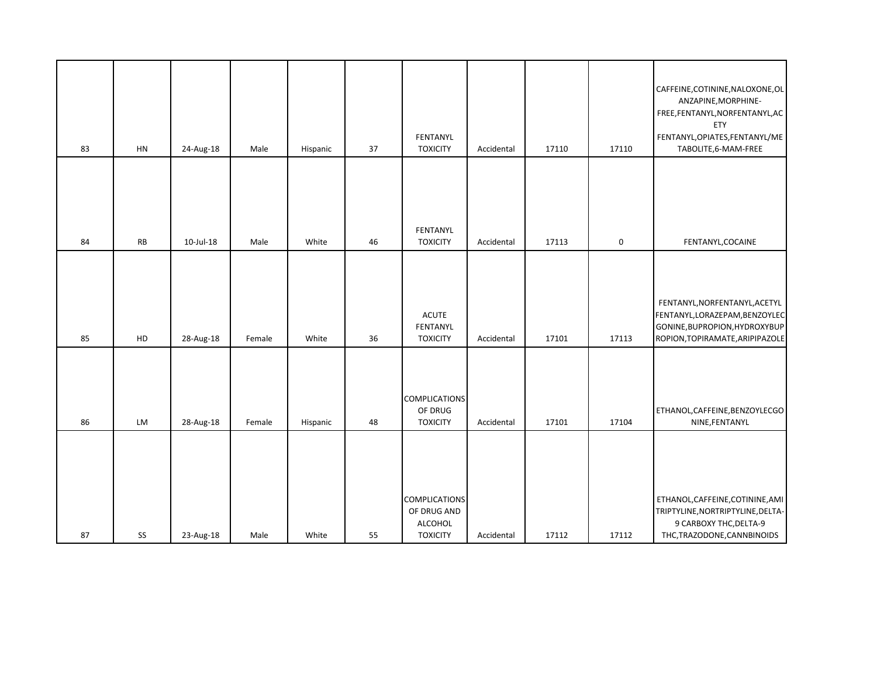| 83 | HN | 24-Aug-18 | Male   | Hispanic | 37 | FENTANYL<br><b>TOXICITY</b>                                       | Accidental | 17110 | 17110               | CAFFEINE, COTININE, NALOXONE, OL<br>ANZAPINE, MORPHINE-<br>FREE, FENTANYL, NORFENTANYL, AC<br>ETY<br>FENTANYL, OPIATES, FENTANYL/ME<br>TABOLITE, 6-MAM-FREE |
|----|----|-----------|--------|----------|----|-------------------------------------------------------------------|------------|-------|---------------------|-------------------------------------------------------------------------------------------------------------------------------------------------------------|
| 84 | RB | 10-Jul-18 | Male   | White    | 46 | FENTANYL<br><b>TOXICITY</b>                                       | Accidental | 17113 | $\mathsf{O}\xspace$ | FENTANYL, COCAINE                                                                                                                                           |
| 85 | HD | 28-Aug-18 | Female | White    | 36 | <b>ACUTE</b><br><b>FENTANYL</b><br><b>TOXICITY</b>                | Accidental | 17101 | 17113               | FENTANYL, NORFENTANYL, ACETYL<br>FENTANYL, LORAZEPAM, BENZOYLEC<br>GONINE, BUPROPION, HYDROXYBUP<br>ROPION, TOPIRAMATE, ARIPIPAZOLE                         |
| 86 | LM | 28-Aug-18 | Female | Hispanic | 48 | <b>COMPLICATIONS</b><br>OF DRUG<br><b>TOXICITY</b>                | Accidental | 17101 | 17104               | ETHANOL, CAFFEINE, BENZOYLECGO<br>NINE, FENTANYL                                                                                                            |
| 87 | SS | 23-Aug-18 | Male   | White    | 55 | <b>COMPLICATIONS</b><br>OF DRUG AND<br>ALCOHOL<br><b>TOXICITY</b> | Accidental | 17112 | 17112               | ETHANOL, CAFFEINE, COTININE, AMI<br>TRIPTYLINE, NORTRIPTYLINE, DELTA-<br>9 CARBOXY THC, DELTA-9<br>THC, TRAZODONE, CANNBINOIDS                              |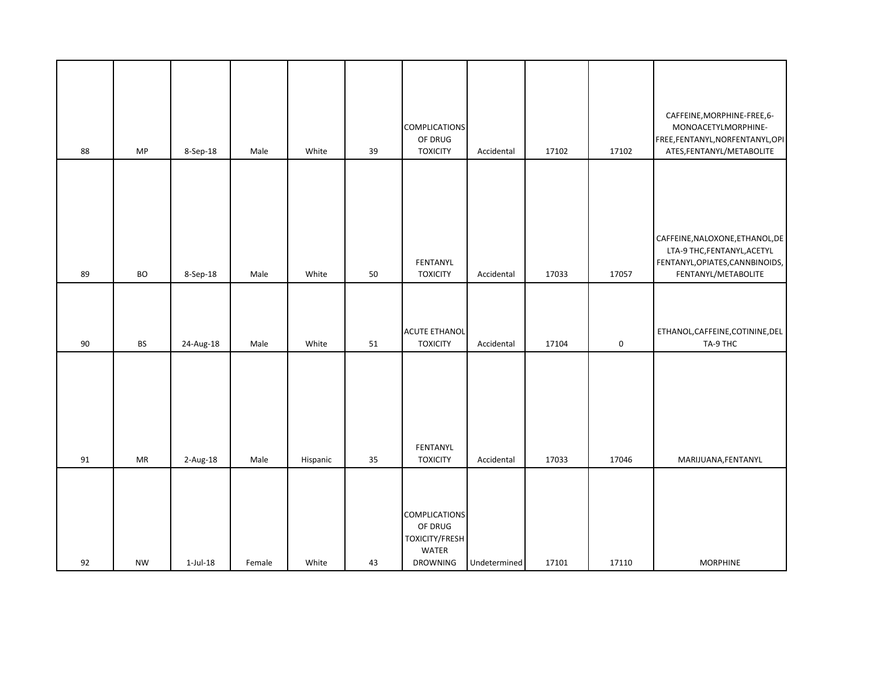| 88 | MP        | 8-Sep-18       | Male   | White    | 39 | <b>COMPLICATIONS</b><br>OF DRUG<br><b>TOXICITY</b>                                   | Accidental   | 17102 | 17102               | CAFFEINE, MORPHINE-FREE, 6-<br>MONOACETYLMORPHINE-<br>FREE,FENTANYL,NORFENTANYL,OPI<br>ATES, FENTANYL/METABOLITE         |
|----|-----------|----------------|--------|----------|----|--------------------------------------------------------------------------------------|--------------|-------|---------------------|--------------------------------------------------------------------------------------------------------------------------|
| 89 | <b>BO</b> | 8-Sep-18       | Male   | White    | 50 | FENTANYL<br><b>TOXICITY</b>                                                          | Accidental   | 17033 | 17057               | CAFFEINE, NALOXONE, ETHANOL, DE<br>LTA-9 THC, FENTANYL, ACETYL<br>FENTANYL, OPIATES, CANNBINOIDS,<br>FENTANYL/METABOLITE |
| 90 | <b>BS</b> | 24-Aug-18      | Male   | White    | 51 | <b>ACUTE ETHANOL</b><br><b>TOXICITY</b>                                              | Accidental   | 17104 | $\mathsf{O}\xspace$ | ETHANOL, CAFFEINE, COTININE, DEL<br>TA-9 THC                                                                             |
|    |           |                |        |          |    |                                                                                      |              |       |                     |                                                                                                                          |
| 91 | <b>MR</b> | 2-Aug-18       | Male   | Hispanic | 35 | FENTANYL<br><b>TOXICITY</b>                                                          | Accidental   | 17033 | 17046               | MARIJUANA, FENTANYL                                                                                                      |
| 92 | <b>NW</b> | $1$ -Jul- $18$ | Female | White    | 43 | <b>COMPLICATIONS</b><br>OF DRUG<br><b>TOXICITY/FRESH</b><br>WATER<br><b>DROWNING</b> | Undetermined | 17101 | 17110               | <b>MORPHINE</b>                                                                                                          |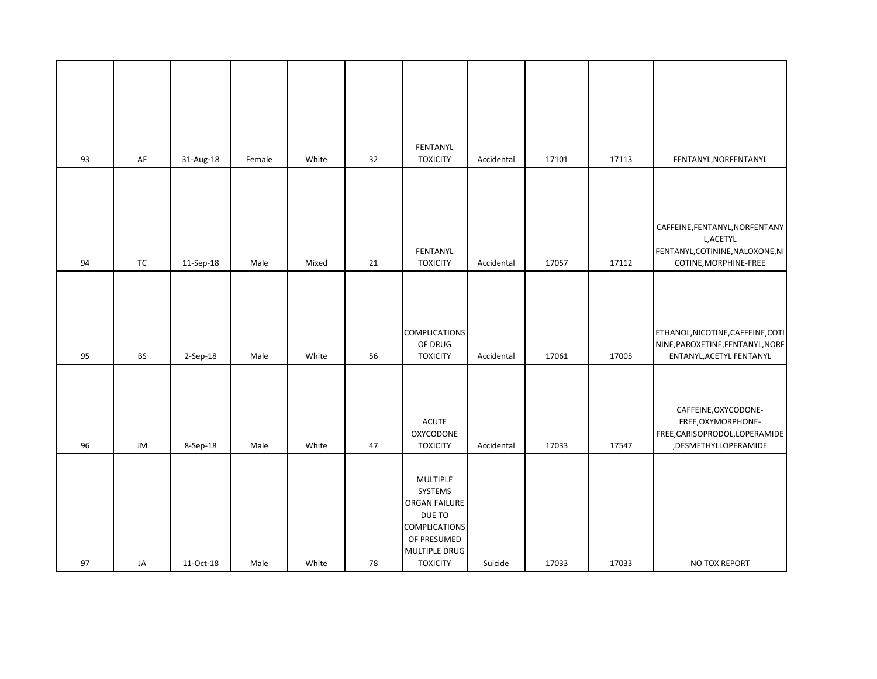| 93 | AF        | 31-Aug-18  | Female | White | 32 | FENTANYL<br><b>TOXICITY</b>                                                                                                      | Accidental | 17101 | 17113 | FENTANYL, NORFENTANYL                                                                                    |
|----|-----------|------------|--------|-------|----|----------------------------------------------------------------------------------------------------------------------------------|------------|-------|-------|----------------------------------------------------------------------------------------------------------|
|    |           |            |        |       |    |                                                                                                                                  |            |       |       |                                                                                                          |
| 94 | TC        | 11-Sep-18  | Male   | Mixed | 21 | FENTANYL<br><b>TOXICITY</b>                                                                                                      | Accidental | 17057 | 17112 | CAFFEINE, FENTANYL, NORFENTANY<br>L, ACETYL<br>FENTANYL, COTININE, NALOXONE, NI<br>COTINE, MORPHINE-FREE |
|    |           |            |        |       |    |                                                                                                                                  |            |       |       |                                                                                                          |
| 95 | <b>BS</b> | $2-Sep-18$ | Male   | White | 56 | <b>COMPLICATIONS</b><br>OF DRUG<br><b>TOXICITY</b>                                                                               | Accidental | 17061 | 17005 | ETHANOL, NICOTINE, CAFFEINE, COTI<br>NINE, PAROXETINE, FENTANYL, NORF<br>ENTANYL, ACETYL FENTANYL        |
| 96 | JM        | 8-Sep-18   | Male   | White | 47 | <b>ACUTE</b><br><b>OXYCODONE</b><br><b>TOXICITY</b>                                                                              | Accidental | 17033 | 17547 | CAFFEINE, OXYCODONE-<br>FREE, OXYMORPHONE-<br>FREE,CARISOPRODOL,LOPERAMIDE<br>, DESMETHYLLOPERAMIDE      |
| 97 | JA        | 11-Oct-18  | Male   | White | 78 | <b>MULTIPLE</b><br>SYSTEMS<br>ORGAN FAILURE<br>DUE TO<br><b>COMPLICATIONS</b><br>OF PRESUMED<br>MULTIPLE DRUG<br><b>TOXICITY</b> | Suicide    | 17033 | 17033 | NO TOX REPORT                                                                                            |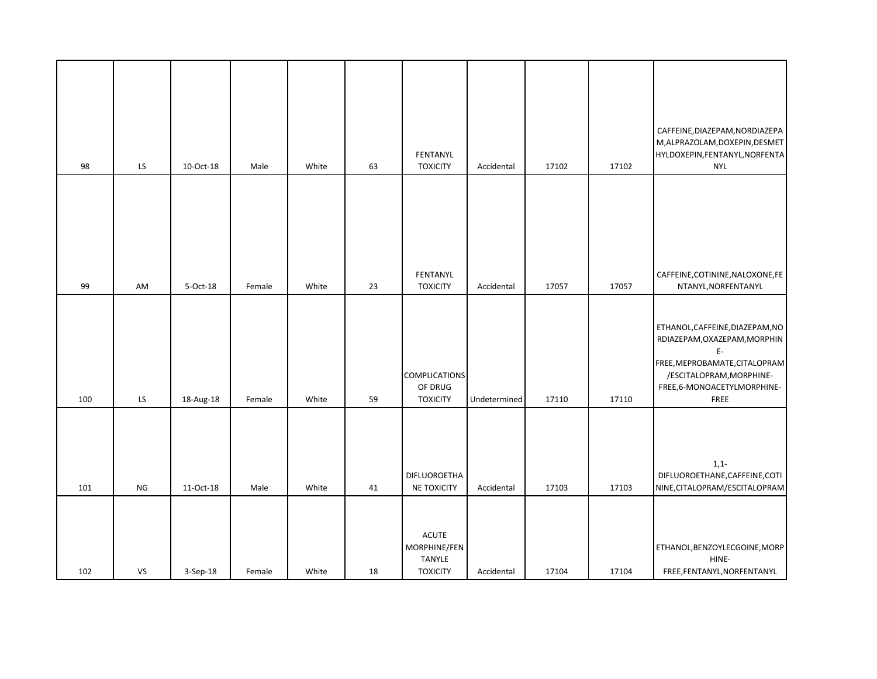| 98  | LS        | 10-Oct-18 | Male   | White | 63 | FENTANYL<br><b>TOXICITY</b>                                      | Accidental   | 17102 | 17102 | CAFFEINE, DIAZEPAM, NORDIAZEPA<br>M,ALPRAZOLAM,DOXEPIN,DESMET<br>HYLDOXEPIN, FENTANYL, NORFENTA<br><b>NYL</b>                                                                   |
|-----|-----------|-----------|--------|-------|----|------------------------------------------------------------------|--------------|-------|-------|---------------------------------------------------------------------------------------------------------------------------------------------------------------------------------|
| 99  | AM        | 5-Oct-18  | Female | White | 23 | FENTANYL<br><b>TOXICITY</b>                                      | Accidental   | 17057 | 17057 | CAFFEINE, COTININE, NALOXONE, FE<br>NTANYL, NORFENTANYL                                                                                                                         |
| 100 | LS        | 18-Aug-18 | Female | White | 59 | <b>COMPLICATIONS</b><br>OF DRUG<br><b>TOXICITY</b>               | Undetermined | 17110 | 17110 | ETHANOL, CAFFEINE, DIAZEPAM, NO<br>RDIAZEPAM, OXAZEPAM, MORPHIN<br>E-<br>FREE, MEPROBAMATE, CITALOPRAM<br>/ESCITALOPRAM, MORPHINE-<br>FREE,6-MONOACETYLMORPHINE-<br><b>FREE</b> |
| 101 | <b>NG</b> | 11-Oct-18 | Male   | White | 41 | DIFLUOROETHA<br>NE TOXICITY                                      | Accidental   | 17103 | 17103 | $1,1$ -<br>DIFLUOROETHANE, CAFFEINE, COTI<br>NINE, CITALOPRAM/ESCITALOPRAM                                                                                                      |
| 102 | VS        | 3-Sep-18  | Female | White | 18 | <b>ACUTE</b><br>MORPHINE/FEN<br><b>TANYLE</b><br><b>TOXICITY</b> | Accidental   | 17104 | 17104 | ETHANOL, BENZOYLECGOINE, MORP<br>HINE-<br>FREE,FENTANYL,NORFENTANYL                                                                                                             |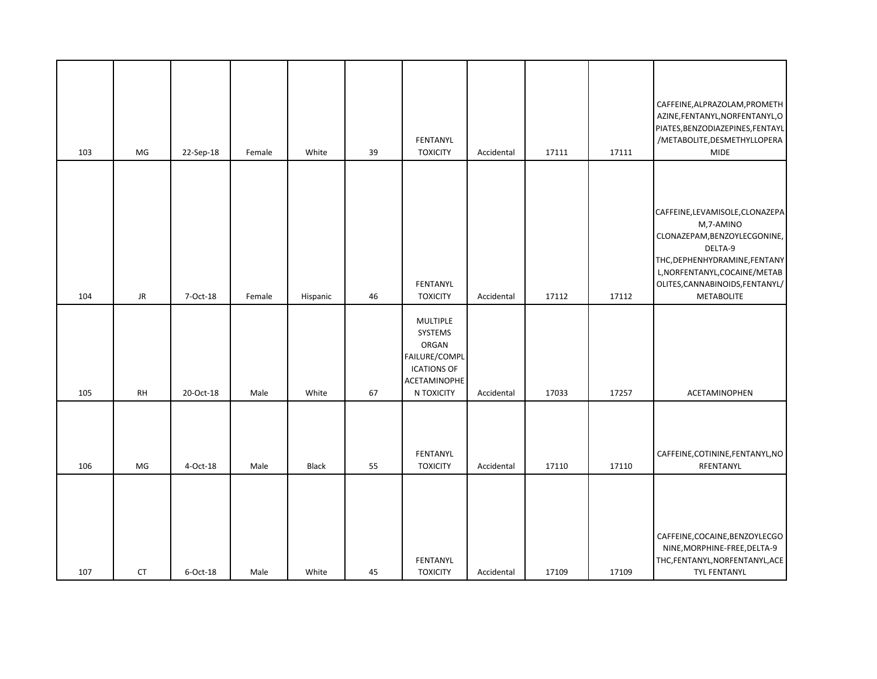| 103 | MG        | 22-Sep-18 | Female | White        | 39 | FENTANYL<br><b>TOXICITY</b>                                                                              | Accidental | 17111 | 17111 | CAFFEINE, ALPRAZOLAM, PROMETH<br>AZINE, FENTANYL, NORFENTANYL, O<br>PIATES, BENZODIAZEPINES, FENTAYL<br>/METABOLITE, DESMETHYLLOPERA<br>MIDE                                                                      |
|-----|-----------|-----------|--------|--------------|----|----------------------------------------------------------------------------------------------------------|------------|-------|-------|-------------------------------------------------------------------------------------------------------------------------------------------------------------------------------------------------------------------|
| 104 | <b>JR</b> | 7-Oct-18  | Female | Hispanic     | 46 | FENTANYL<br><b>TOXICITY</b>                                                                              | Accidental | 17112 | 17112 | CAFFEINE, LEVAMISOLE, CLONAZEPA<br>M,7-AMINO<br>CLONAZEPAM, BENZOYLECGONINE,<br>DELTA-9<br>THC, DEPHENHYDRAMINE, FENTANY<br>L, NORFENTANYL, COCAINE/METAB<br>OLITES, CANNABINOIDS, FENTANYL/<br><b>METABOLITE</b> |
| 105 | <b>RH</b> | 20-Oct-18 | Male   | White        | 67 | <b>MULTIPLE</b><br>SYSTEMS<br>ORGAN<br>FAILURE/COMPL<br><b>ICATIONS OF</b><br>ACETAMINOPHE<br>N TOXICITY | Accidental | 17033 | 17257 | ACETAMINOPHEN                                                                                                                                                                                                     |
| 106 | MG        | 4-Oct-18  | Male   | <b>Black</b> | 55 | FENTANYL<br><b>TOXICITY</b>                                                                              | Accidental | 17110 | 17110 | CAFFEINE, COTININE, FENTANYL, NO<br>RFENTANYL                                                                                                                                                                     |
| 107 | <b>CT</b> | 6-Oct-18  | Male   | White        | 45 | FENTANYL<br><b>TOXICITY</b>                                                                              | Accidental | 17109 | 17109 | CAFFEINE, COCAINE, BENZOYLECGO<br>NINE, MORPHINE-FREE, DELTA-9<br>THC,FENTANYL,NORFENTANYL,ACE<br>TYL FENTANYL                                                                                                    |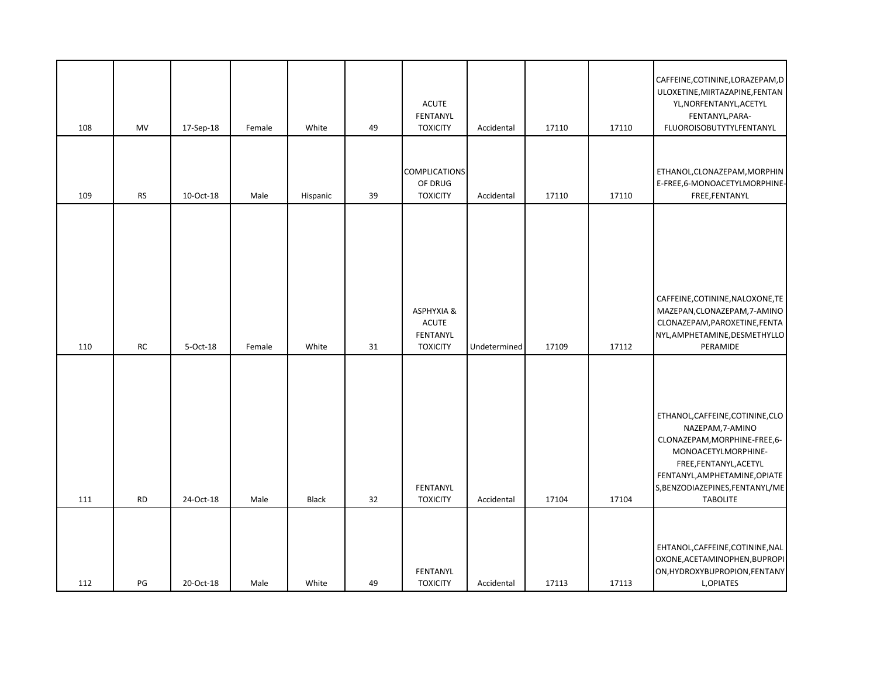| 108 | MV        | 17-Sep-18 | Female | White    | 49 | <b>ACUTE</b><br>FENTANYL<br><b>TOXICITY</b>                          | Accidental   | 17110 | 17110 | CAFFEINE, COTININE, LORAZEPAM, D<br>ULOXETINE, MIRTAZAPINE, FENTAN<br>YL, NORFENTANYL, ACETYL<br>FENTANYL, PARA-<br>FLUOROISOBUTYTYLFENTANYL                        |
|-----|-----------|-----------|--------|----------|----|----------------------------------------------------------------------|--------------|-------|-------|---------------------------------------------------------------------------------------------------------------------------------------------------------------------|
| 109 | <b>RS</b> | 10-Oct-18 | Male   | Hispanic | 39 | <b>COMPLICATIONS</b><br>OF DRUG<br><b>TOXICITY</b>                   | Accidental   | 17110 | 17110 | ETHANOL, CLONAZEPAM, MORPHIN<br>E-FREE,6-MONOACETYLMORPHINE-<br>FREE, FENTANYL                                                                                      |
|     |           |           |        |          |    |                                                                      |              |       |       |                                                                                                                                                                     |
| 110 | <b>RC</b> | 5-Oct-18  | Female | White    | 31 | <b>ASPHYXIA &amp;</b><br><b>ACUTE</b><br>FENTANYL<br><b>TOXICITY</b> | Undetermined | 17109 | 17112 | CAFFEINE, COTININE, NALOXONE, TE<br>MAZEPAN, CLONAZEPAM, 7-AMINO<br>CLONAZEPAM, PAROXETINE, FENTA<br>NYL, AMPHETAMINE, DESMETHYLLO<br>PERAMIDE                      |
|     |           |           |        |          |    |                                                                      |              |       |       | ETHANOL, CAFFEINE, COTININE, CLO<br>NAZEPAM, 7-AMINO                                                                                                                |
| 111 | <b>RD</b> | 24-Oct-18 | Male   | Black    | 32 | FENTANYL<br><b>TOXICITY</b>                                          | Accidental   | 17104 | 17104 | CLONAZEPAM, MORPHINE-FREE, 6-<br>MONOACETYLMORPHINE-<br>FREE,FENTANYL,ACETYL<br>FENTANYL, AMPHETAMINE, OPIATE<br>S, BENZODIAZEPINES, FENTANYL/ME<br><b>TABOLITE</b> |
| 112 | PG        | 20-Oct-18 | Male   | White    | 49 | <b>FENTANYL</b><br><b>TOXICITY</b>                                   | Accidental   | 17113 | 17113 | EHTANOL, CAFFEINE, COTININE, NAL<br>OXONE, ACETAMINOPHEN, BUPROPI<br>ON, HYDROXYBUPROPION, FENTANY<br>L, OPIATES                                                    |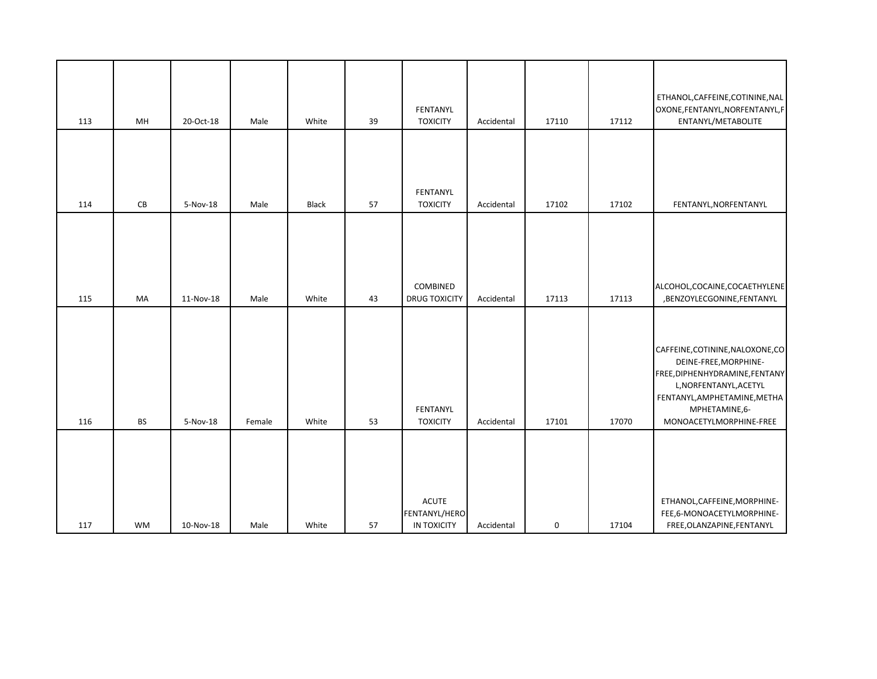| 113 | MH        | 20-Oct-18 | Male   | White | 39 | FENTANYL<br><b>TOXICITY</b>                         | Accidental | 17110 | 17112 | ETHANOL, CAFFEINE, COTININE, NAL<br>OXONE, FENTANYL, NORFENTANYL, F<br>ENTANYL/METABOLITE                                                                                                         |
|-----|-----------|-----------|--------|-------|----|-----------------------------------------------------|------------|-------|-------|---------------------------------------------------------------------------------------------------------------------------------------------------------------------------------------------------|
|     |           |           |        |       |    | FENTANYL                                            |            |       |       |                                                                                                                                                                                                   |
| 114 | CB        | 5-Nov-18  | Male   | Black | 57 | <b>TOXICITY</b>                                     | Accidental | 17102 | 17102 | FENTANYL, NORFENTANYL                                                                                                                                                                             |
| 115 | MA        | 11-Nov-18 | Male   | White | 43 | COMBINED<br><b>DRUG TOXICITY</b>                    | Accidental | 17113 | 17113 | ALCOHOL, COCAINE, COCAETHYLENE<br>,BENZOYLECGONINE,FENTANYL                                                                                                                                       |
| 116 | <b>BS</b> | 5-Nov-18  | Female | White | 53 | FENTANYL<br><b>TOXICITY</b>                         | Accidental | 17101 | 17070 | CAFFEINE, COTININE, NALOXONE, CO<br>DEINE-FREE, MORPHINE-<br>FREE, DIPHENHYDRAMINE, FENTANY<br>L, NORFENTANYL, ACETYL<br>FENTANYL, AMPHETAMINE, METHA<br>MPHETAMINE,6-<br>MONOACETYLMORPHINE-FREE |
| 117 | <b>WM</b> | 10-Nov-18 | Male   | White | 57 | <b>ACUTE</b><br>FENTANYL/HERO<br><b>IN TOXICITY</b> | Accidental | 0     | 17104 | ETHANOL, CAFFEINE, MORPHINE-<br>FEE,6-MONOACETYLMORPHINE-<br>FREE, OLANZAPINE, FENTANYL                                                                                                           |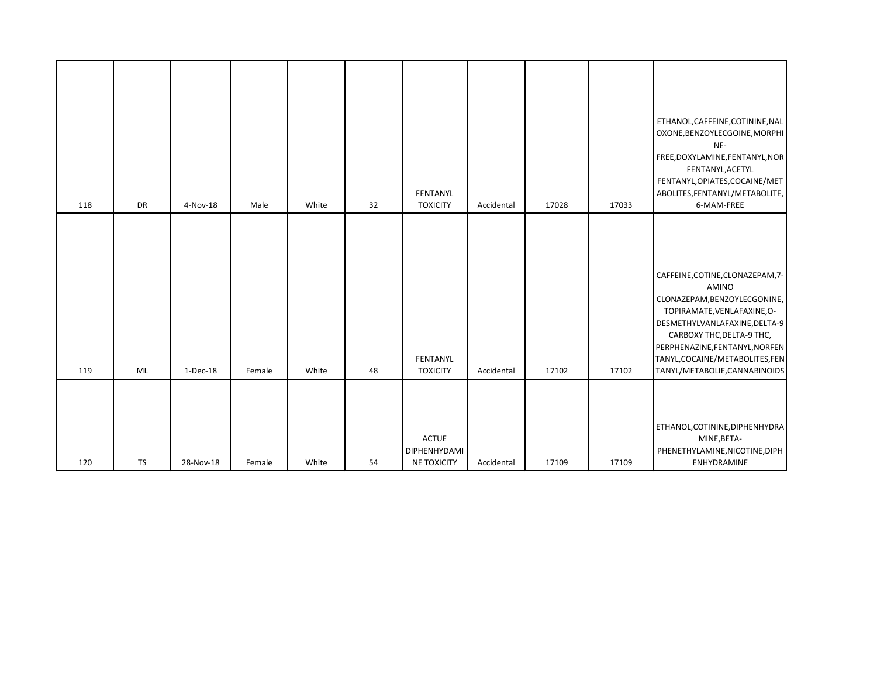| 118 | <b>DR</b> | 4-Nov-18   | Male   | White | 32 | <b>FENTANYL</b><br><b>TOXICITY</b>          | Accidental | 17028 | 17033 | ETHANOL, CAFFEINE, COTININE, NAL<br>OXONE, BENZOYLECGOINE, MORPHI<br>NE-<br>FREE, DOXYLAMINE, FENTANYL, NOR<br>FENTANYL, ACETYL<br>FENTANYL, OPIATES, COCAINE/MET<br>ABOLITES, FENTANYL/METABOLITE,<br>6-MAM-FREE                                                            |
|-----|-----------|------------|--------|-------|----|---------------------------------------------|------------|-------|-------|------------------------------------------------------------------------------------------------------------------------------------------------------------------------------------------------------------------------------------------------------------------------------|
| 119 | ML        | $1-Dec-18$ | Female | White | 48 | FENTANYL<br><b>TOXICITY</b>                 | Accidental | 17102 | 17102 | CAFFEINE, COTINE, CLONAZEPAM, 7-<br>AMINO<br>CLONAZEPAM, BENZOYLECGONINE,<br>TOPIRAMATE, VENLAFAXINE, O-<br>DESMETHYLVANLAFAXINE, DELTA-9<br>CARBOXY THC, DELTA-9 THC,<br>PERPHENAZINE, FENTANYL, NORFEN<br>TANYL, COCAINE/METABOLITES, FEN<br>TANYL/METABOLIE, CANNABINOIDS |
| 120 | <b>TS</b> | 28-Nov-18  | Female | White | 54 | <b>ACTUE</b><br>DIPHENHYDAMI<br>NE TOXICITY | Accidental | 17109 | 17109 | ETHANOL, COTININE, DIPHENHYDRA<br>MINE, BETA-<br>PHENETHYLAMINE, NICOTINE, DIPH<br>ENHYDRAMINE                                                                                                                                                                               |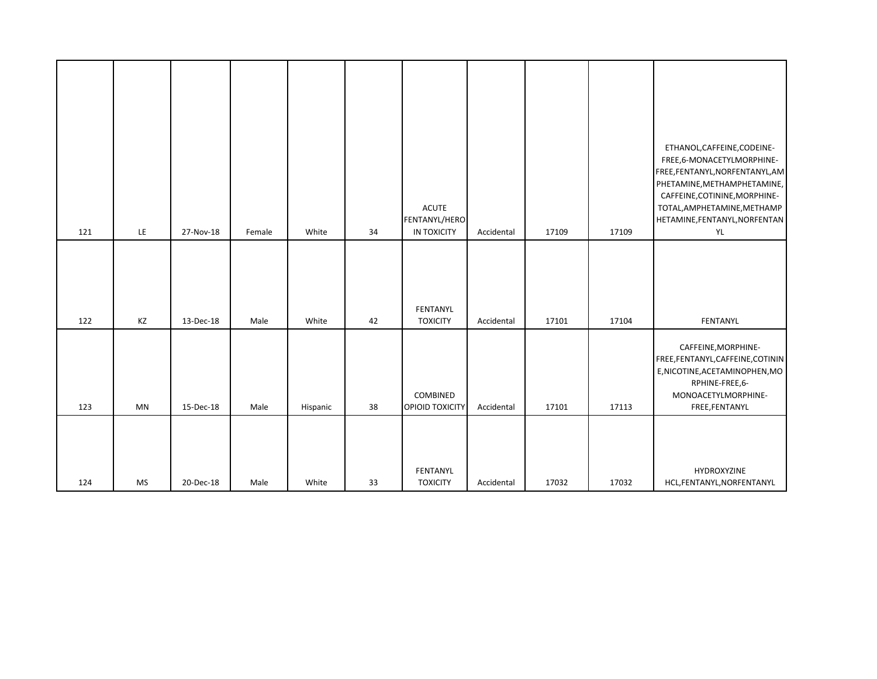| 121 | LE.       | 27-Nov-18 | Female | White    | 34 | <b>ACUTE</b><br>FENTANYL/HERO<br><b>IN TOXICITY</b> | Accidental | 17109 | 17109 | ETHANOL, CAFFEINE, CODEINE-<br>FREE,6-MONACETYLMORPHINE-<br>FREE, FENTANYL, NORFENTANYL, AM<br>PHETAMINE, METHAMPHETAMINE,<br>CAFFEINE, COTININE, MORPHINE-<br>TOTAL, AMPHETAMINE, METHAMP<br>HETAMINE, FENTANYL, NORFENTAN<br>YL |
|-----|-----------|-----------|--------|----------|----|-----------------------------------------------------|------------|-------|-------|-----------------------------------------------------------------------------------------------------------------------------------------------------------------------------------------------------------------------------------|
|     |           |           |        |          |    |                                                     |            |       |       |                                                                                                                                                                                                                                   |
| 122 | KZ        | 13-Dec-18 | Male   | White    | 42 | FENTANYL<br><b>TOXICITY</b>                         | Accidental | 17101 | 17104 | FENTANYL                                                                                                                                                                                                                          |
| 123 | MN        | 15-Dec-18 | Male   | Hispanic | 38 | COMBINED<br>OPIOID TOXICITY                         | Accidental | 17101 | 17113 | CAFFEINE, MORPHINE-<br>FREE,FENTANYL,CAFFEINE,COTININ<br>E, NICOTINE, ACETAMINOPHEN, MO<br>RPHINE-FREE,6-<br>MONOACETYLMORPHINE-<br>FREE, FENTANYL                                                                                |
| 124 | <b>MS</b> | 20-Dec-18 | Male   | White    | 33 | FENTANYL<br><b>TOXICITY</b>                         | Accidental | 17032 | 17032 | HYDROXYZINE<br>HCL,FENTANYL,NORFENTANYL                                                                                                                                                                                           |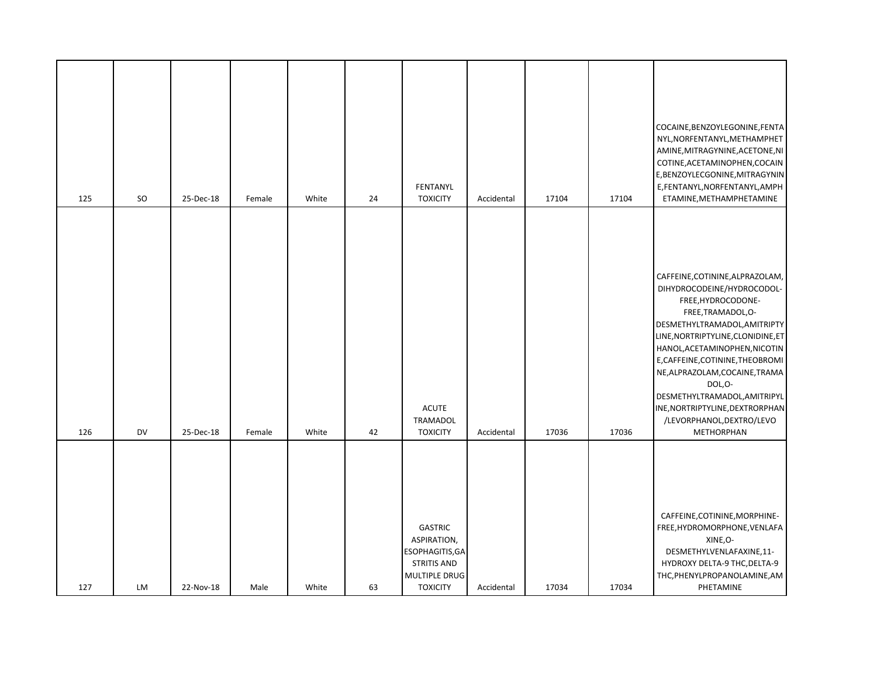| 125 | <b>SO</b> | 25-Dec-18 | Female | White | 24 | FENTANYL<br><b>TOXICITY</b>                                                                                | Accidental | 17104 | 17104 | COCAINE, BENZOYLEGONINE, FENTA<br>NYL, NORFENTANYL, METHAMPHET<br>AMINE, MITRAGYNINE, ACETONE, NI<br>COTINE, ACETAMINOPHEN, COCAIN<br>E, BENZOYLECGONINE, MITRAGYNIN<br>E,FENTANYL,NORFENTANYL,AMPH<br>ETAMINE, METHAMPHETAMINE                                                                                                                                                                                        |
|-----|-----------|-----------|--------|-------|----|------------------------------------------------------------------------------------------------------------|------------|-------|-------|------------------------------------------------------------------------------------------------------------------------------------------------------------------------------------------------------------------------------------------------------------------------------------------------------------------------------------------------------------------------------------------------------------------------|
| 126 | <b>DV</b> | 25-Dec-18 | Female | White | 42 | <b>ACUTE</b><br><b>TRAMADOL</b><br><b>TOXICITY</b>                                                         | Accidental | 17036 | 17036 | CAFFEINE, COTININE, ALPRAZOLAM,<br>DIHYDROCODEINE/HYDROCODOL-<br>FREE, HYDROCODONE-<br>FREE, TRAMADOL, O-<br>DESMETHYLTRAMADOL, AMITRIPTY<br>LINE, NORTRIPTYLINE, CLONIDINE, ET<br>HANOL, ACETAMINOPHEN, NICOTIN<br>E, CAFFEINE, COTININE, THEOBROMI<br>NE, ALPRAZOLAM, COCAINE, TRAMA<br>DOL, O-<br>DESMETHYLTRAMADOL, AMITRIPYL<br>INE, NORTRIPTYLINE, DEXTRORPHAN<br>/LEVORPHANOL, DEXTRO/LEVO<br><b>METHORPHAN</b> |
| 127 | LM        | 22-Nov-18 | Male   | White | 63 | <b>GASTRIC</b><br>ASPIRATION,<br>ESOPHAGITIS, GA<br><b>STRITIS AND</b><br>MULTIPLE DRUG<br><b>TOXICITY</b> | Accidental | 17034 | 17034 | CAFFEINE, COTININE, MORPHINE-<br>FREE, HYDROMORPHONE, VENLAFA<br>XINE,O-<br>DESMETHYLVENLAFAXINE,11-<br>HYDROXY DELTA-9 THC, DELTA-9<br>THC, PHENYLPROPANOLAMINE, AM<br>PHETAMINE                                                                                                                                                                                                                                      |